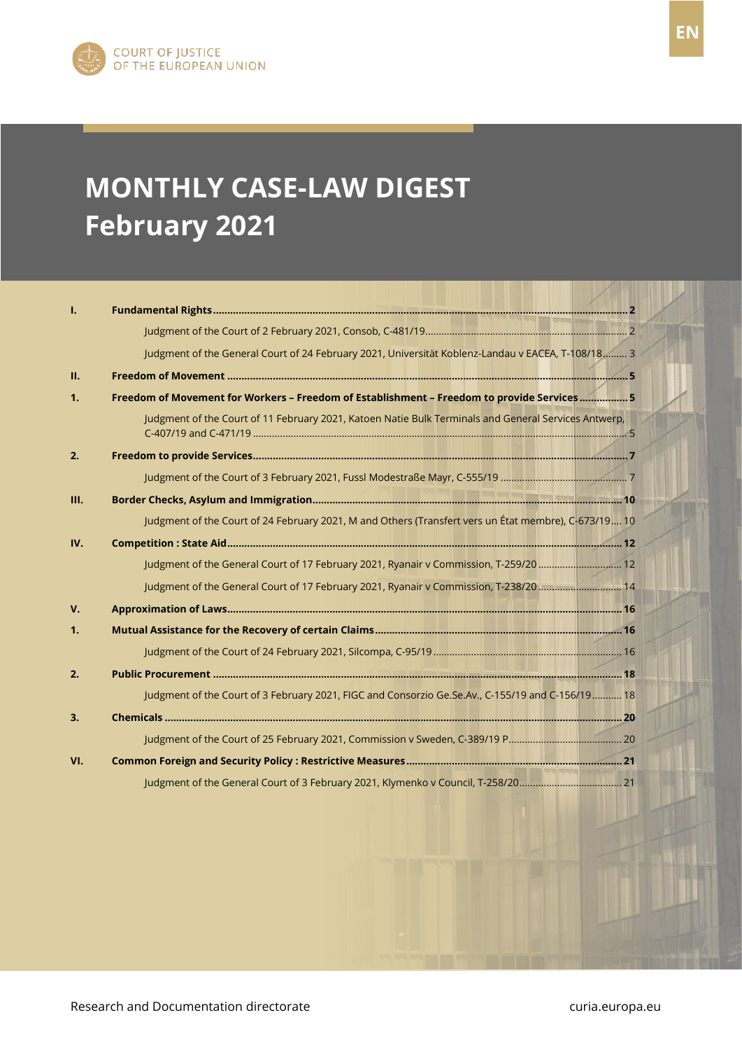# **MONTHLY CASE-LAW DIGEST February 2021**

| 1.          |                                                                                                      |
|-------------|------------------------------------------------------------------------------------------------------|
|             |                                                                                                      |
|             | Judgment of the General Court of 24 February 2021, Universität Koblenz-Landau v EACEA, T-108/18 3    |
| II.         |                                                                                                      |
| 1.          | Freedom of Movement for Workers - Freedom of Establishment - Freedom to provide Services 5           |
|             | Judgment of the Court of 11 February 2021, Katoen Natie Bulk Terminals and General Services Antwerp, |
| 2.          |                                                                                                      |
|             |                                                                                                      |
| III.        |                                                                                                      |
|             | Judgment of the Court of 24 February 2021, M and Others (Transfert vers un État membre), C-673/19 10 |
| IV.         |                                                                                                      |
|             | Judgment of the General Court of 17 February 2021, Ryanair v Commission, T-259/20  12                |
|             | Judgment of the General Court of 17 February 2021, Ryanair v Commission, T-238/20  14                |
| $V_{\cdot}$ |                                                                                                      |
| 1.          |                                                                                                      |
|             |                                                                                                      |
| 2.          |                                                                                                      |
|             | Judgment of the Court of 3 February 2021, FIGC and Consorzio Ge.Se.Av., C-155/19 and C-156/19  18    |
| 3.          |                                                                                                      |
|             |                                                                                                      |
| VI.         |                                                                                                      |
|             |                                                                                                      |
|             |                                                                                                      |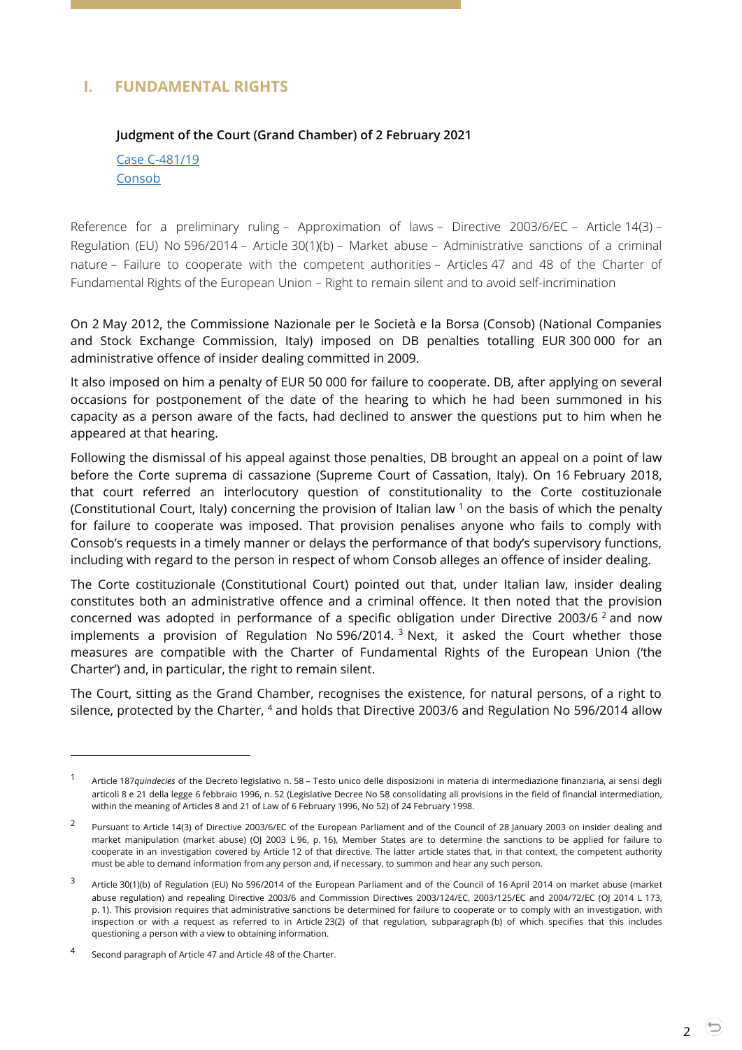# <span id="page-1-1"></span><span id="page-1-0"></span>**I. FUNDAMENTAL RIGHTS**

#### **Judgment of the Court (Grand Chamber) of 2 February 2021**

Case [C-481/19](https://curia.europa.eu/juris/document/document.jsf;jsessionid=17DD2A3DFA58947962450E805FBA5BAB?text=&docid=237202&pageIndex=0&doclang=EN&mode=lst&dir=&occ=first&part=1&cid=5694988) **[Consob](https://curia.europa.eu/juris/document/document.jsf;jsessionid=17DD2A3DFA58947962450E805FBA5BAB?text=&docid=237202&pageIndex=0&doclang=EN&mode=lst&dir=&occ=first&part=1&cid=5694988)** 

Reference for a preliminary ruling – Approximation of laws – Directive 2003/6/EC – Article 14(3) – Regulation (EU) No 596/2014 – Article 30(1)(b) – Market abuse – Administrative sanctions of a criminal nature – Failure to cooperate with the competent authorities – Articles 47 and 48 of the Charter of Fundamental Rights of the European Union – Right to remain silent and to avoid self-incrimination

On 2 May 2012, the Commissione Nazionale per le Società e la Borsa (Consob) (National Companies and Stock Exchange Commission, Italy) imposed on DB penalties totalling EUR 300 000 for an administrative offence of insider dealing committed in 2009.

It also imposed on him a penalty of EUR 50 000 for failure to cooperate. DB, after applying on several occasions for postponement of the date of the hearing to which he had been summoned in his capacity as a person aware of the facts, had declined to answer the questions put to him when he appeared at that hearing.

Following the dismissal of his appeal against those penalties, DB brought an appeal on a point of law before the Corte suprema di cassazione (Supreme Court of Cassation, Italy). On 16 February 2018, that court referred an interlocutory question of constitutionality to the Corte costituzionale (Constitutional Court, Italy) concerning the provision of Italian law  $1$  on the basis of which the penalty for failure to cooperate was imposed. That provision penalises anyone who fails to comply with Consob's requests in a timely manner or delays the performance of that body's supervisory functions, including with regard to the person in respect of whom Consob alleges an offence of insider dealing.

The Corte costituzionale (Constitutional Court) pointed out that, under Italian law, insider dealing constitutes both an administrative offence and a criminal offence. It then noted that the provision concerned was adopted in performance of a specific obligation under Directive 2003/6<sup>2</sup> and now implements a provision of Regulation No 596/2014. <sup>3</sup> Next, it asked the Court whether those measures are compatible with the Charter of Fundamental Rights of the European Union ('the Charter') and, in particular, the right to remain silent.

The Court, sitting as the Grand Chamber, recognises the existence, for natural persons, of a right to silence, protected by the Charter, <sup>4</sup> and holds that Directive 2003/6 and Regulation No 596/2014 allow

<sup>1</sup> Article 187*quindecies* of the Decreto legislativo n. 58 – Testo unico delle disposizioni in materia di intermediazione finanziaria, ai sensi degli articoli 8 e 21 della legge 6 febbraio 1996, n. 52 (Legislative Decree No 58 consolidating all provisions in the field of financial intermediation, within the meaning of Articles 8 and 21 of Law of 6 February 1996, No 52) of 24 February 1998.

<sup>2</sup> Pursuant to Article 14(3) of Directive 2003/6/EC of the European Parliament and of the Council of 28 January 2003 on insider dealing and market manipulation (market abuse) (OJ 2003 L 96, p. 16), Member States are to determine the sanctions to be applied for failure to cooperate in an investigation covered by Article 12 of that directive. The latter article states that, in that context, the competent authority must be able to demand information from any person and, if necessary, to summon and hear any such person.

<sup>3</sup> Article 30(1)(b) of Regulation (EU) No 596/2014 of the European Parliament and of the Council of 16 April 2014 on market abuse (market abuse regulation) and repealing Directive 2003/6 and Commission Directives 2003/124/EC, 2003/125/EC and 2004/72/EC (OJ 2014 L 173, p. 1). This provision requires that administrative sanctions be determined for failure to cooperate or to comply with an investigation, with inspection or with a request as referred to in Article 23(2) of that regulation, subparagraph (b) of which specifies that this includes questioning a person with a view to obtaining information.

<sup>4</sup> Second paragraph of Article 47 and Article 48 of the Charter.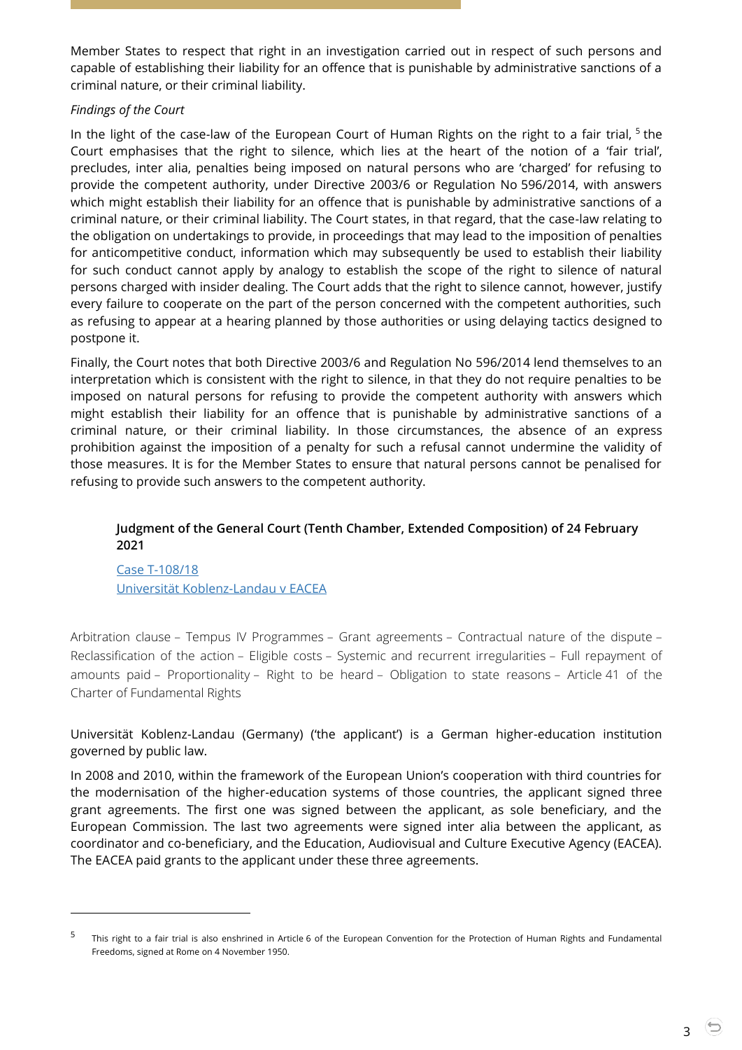Member States to respect that right in an investigation carried out in respect of such persons and capable of establishing their liability for an offence that is punishable by administrative sanctions of a criminal nature, or their criminal liability.

#### *Findings of the Court*

In the light of the case-law of the European Court of Human Rights on the right to a fair trial,  $5$  the Court emphasises that the right to silence, which lies at the heart of the notion of a 'fair trial', precludes, inter alia, penalties being imposed on natural persons who are 'charged' for refusing to provide the competent authority, under Directive 2003/6 or Regulation No 596/2014, with answers which might establish their liability for an offence that is punishable by administrative sanctions of a criminal nature, or their criminal liability. The Court states, in that regard, that the case-law relating to the obligation on undertakings to provide, in proceedings that may lead to the imposition of penalties for anticompetitive conduct, information which may subsequently be used to establish their liability for such conduct cannot apply by analogy to establish the scope of the right to silence of natural persons charged with insider dealing. The Court adds that the right to silence cannot, however, justify every failure to cooperate on the part of the person concerned with the competent authorities, such as refusing to appear at a hearing planned by those authorities or using delaying tactics designed to postpone it.

Finally, the Court notes that both Directive 2003/6 and Regulation No 596/2014 lend themselves to an interpretation which is consistent with the right to silence, in that they do not require penalties to be imposed on natural persons for refusing to provide the competent authority with answers which might establish their liability for an offence that is punishable by administrative sanctions of a criminal nature, or their criminal liability. In those circumstances, the absence of an express prohibition against the imposition of a penalty for such a refusal cannot undermine the validity of those measures. It is for the Member States to ensure that natural persons cannot be penalised for refusing to provide such answers to the competent authority.

## <span id="page-2-0"></span>**Judgment of the General Court (Tenth Chamber, Extended Composition) of 24 February 2021**

Case T-108/18 Universität Koblenz-Landau v EACEA

-

Arbitration clause – Tempus IV Programmes – Grant agreements – Contractual nature of the dispute – Reclassification of the action – Eligible costs – Systemic and recurrent irregularities – Full repayment of amounts paid – Proportionality – Right to be heard – Obligation to state reasons – Article 41 of the Charter of Fundamental Rights

Universität Koblenz-Landau (Germany) ('the applicant') is a German higher-education institution governed by public law.

In 2008 and 2010, within the framework of the European Union's cooperation with third countries for the modernisation of the higher-education systems of those countries, the applicant signed three grant agreements. The first one was signed between the applicant, as sole beneficiary, and the European Commission. The last two agreements were signed inter alia between the applicant, as coordinator and co-beneficiary, and the Education, Audiovisual and Culture Executive Agency (EACEA). The EACEA paid grants to the applicant under these three agreements.

<sup>5</sup> This right to a fair trial is also enshrined in Article 6 of the European Convention for the Protection of Human Rights and Fundamental Freedoms, signed at Rome on 4 November 1950.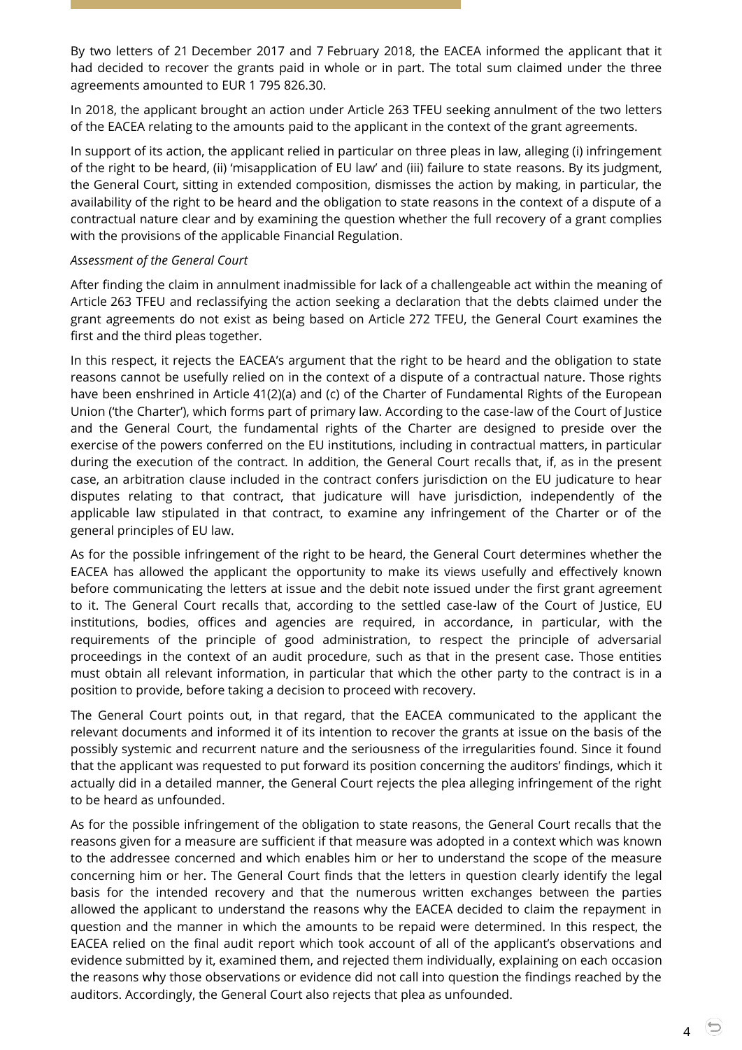By two letters of 21 December 2017 and 7 February 2018, the EACEA informed the applicant that it had decided to recover the grants paid in whole or in part. The total sum claimed under the three agreements amounted to EUR 1 795 826.30.

In 2018, the applicant brought an action under Article 263 TFEU seeking annulment of the two letters of the EACEA relating to the amounts paid to the applicant in the context of the grant agreements.

In support of its action, the applicant relied in particular on three pleas in law, alleging (i) infringement of the right to be heard, (ii) 'misapplication of EU law' and (iii) failure to state reasons. By its judgment, the General Court, sitting in extended composition, dismisses the action by making, in particular, the availability of the right to be heard and the obligation to state reasons in the context of a dispute of a contractual nature clear and by examining the question whether the full recovery of a grant complies with the provisions of the applicable Financial Regulation.

#### *Assessment of the General Court*

After finding the claim in annulment inadmissible for lack of a challengeable act within the meaning of Article 263 TFEU and reclassifying the action seeking a declaration that the debts claimed under the grant agreements do not exist as being based on Article 272 TFEU, the General Court examines the first and the third pleas together.

In this respect, it rejects the EACEA's argument that the right to be heard and the obligation to state reasons cannot be usefully relied on in the context of a dispute of a contractual nature. Those rights have been enshrined in Article 41(2)(a) and (c) of the Charter of Fundamental Rights of the European Union ('the Charter'), which forms part of primary law. According to the case-law of the Court of Justice and the General Court, the fundamental rights of the Charter are designed to preside over the exercise of the powers conferred on the EU institutions, including in contractual matters, in particular during the execution of the contract. In addition, the General Court recalls that, if, as in the present case, an arbitration clause included in the contract confers jurisdiction on the EU judicature to hear disputes relating to that contract, that judicature will have jurisdiction, independently of the applicable law stipulated in that contract, to examine any infringement of the Charter or of the general principles of EU law.

As for the possible infringement of the right to be heard, the General Court determines whether the EACEA has allowed the applicant the opportunity to make its views usefully and effectively known before communicating the letters at issue and the debit note issued under the first grant agreement to it. The General Court recalls that, according to the settled case-law of the Court of Justice, EU institutions, bodies, offices and agencies are required, in accordance, in particular, with the requirements of the principle of good administration, to respect the principle of adversarial proceedings in the context of an audit procedure, such as that in the present case. Those entities must obtain all relevant information, in particular that which the other party to the contract is in a position to provide, before taking a decision to proceed with recovery.

The General Court points out, in that regard, that the EACEA communicated to the applicant the relevant documents and informed it of its intention to recover the grants at issue on the basis of the possibly systemic and recurrent nature and the seriousness of the irregularities found. Since it found that the applicant was requested to put forward its position concerning the auditors' findings, which it actually did in a detailed manner, the General Court rejects the plea alleging infringement of the right to be heard as unfounded.

As for the possible infringement of the obligation to state reasons, the General Court recalls that the reasons given for a measure are sufficient if that measure was adopted in a context which was known to the addressee concerned and which enables him or her to understand the scope of the measure concerning him or her. The General Court finds that the letters in question clearly identify the legal basis for the intended recovery and that the numerous written exchanges between the parties allowed the applicant to understand the reasons why the EACEA decided to claim the repayment in question and the manner in which the amounts to be repaid were determined. In this respect, the EACEA relied on the final audit report which took account of all of the applicant's observations and evidence submitted by it, examined them, and rejected them individually, explaining on each occasion the reasons why those observations or evidence did not call into question the findings reached by the auditors. Accordingly, the General Court also rejects that plea as unfounded.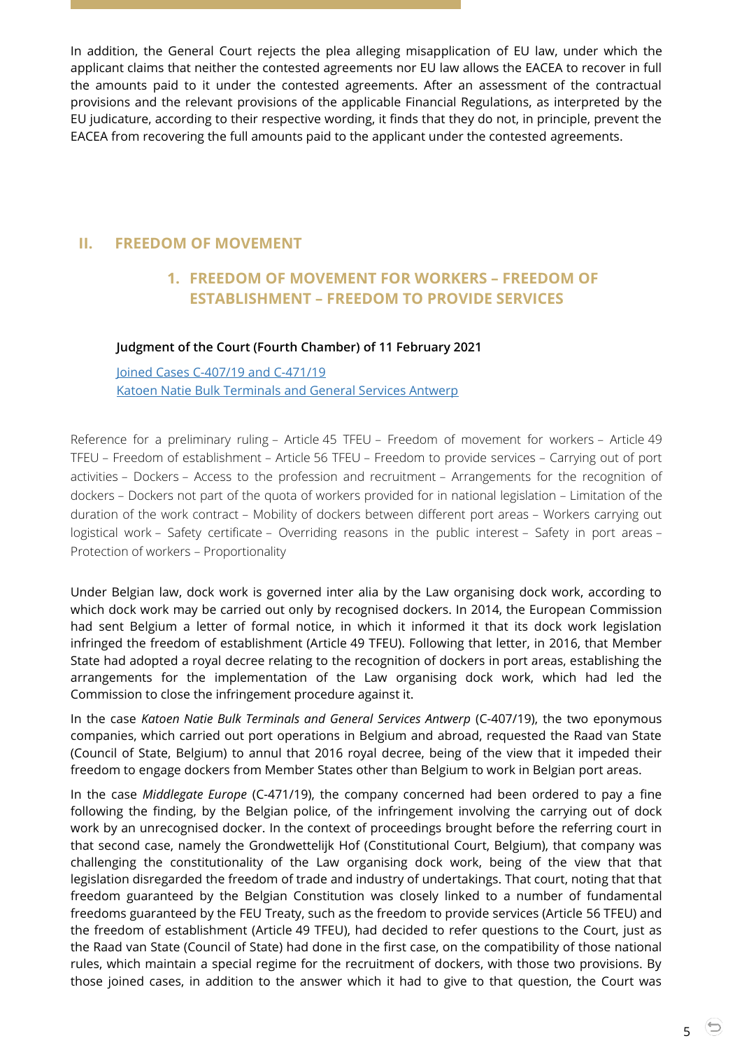In addition, the General Court rejects the plea alleging misapplication of EU law, under which the applicant claims that neither the contested agreements nor EU law allows the EACEA to recover in full the amounts paid to it under the contested agreements. After an assessment of the contractual provisions and the relevant provisions of the applicable Financial Regulations, as interpreted by the EU judicature, according to their respective wording, it finds that they do not, in principle, prevent the EACEA from recovering the full amounts paid to the applicant under the contested agreements.

# <span id="page-4-1"></span><span id="page-4-0"></span>**II. FREEDOM OF MOVEMENT**

# **1. FREEDOM OF MOVEMENT FOR WORKERS – FREEDOM OF ESTABLISHMENT – FREEDOM TO PROVIDE SERVICES**

## <span id="page-4-2"></span>**Judgment of the Court (Fourth Chamber) of 11 February 2021**

Joined Cases [C-407/19 and](https://curia.europa.eu/juris/document/document.jsf?text=&docid=237644&pageIndex=0&doclang=EN&mode=lst&dir=&occ=first&part=1&cid=5709349) C-471/19 [Katoen Natie Bulk Terminals and](https://curia.europa.eu/juris/document/document.jsf?text=&docid=237644&pageIndex=0&doclang=EN&mode=lst&dir=&occ=first&part=1&cid=5709349) General Services Antwerp

Reference for a preliminary ruling – Article 45 TFEU – Freedom of movement for workers – Article 49 TFEU – Freedom of establishment – Article 56 TFEU – Freedom to provide services – Carrying out of port activities – Dockers – Access to the profession and recruitment – Arrangements for the recognition of dockers – Dockers not part of the quota of workers provided for in national legislation – Limitation of the duration of the work contract – Mobility of dockers between different port areas – Workers carrying out logistical work – Safety certificate – Overriding reasons in the public interest – Safety in port areas – Protection of workers – Proportionality

Under Belgian law, dock work is governed inter alia by the Law organising dock work, according to which dock work may be carried out only by recognised dockers. In 2014, the European Commission had sent Belgium a letter of formal notice, in which it informed it that its dock work legislation infringed the freedom of establishment (Article 49 TFEU). Following that letter, in 2016, that Member State had adopted a royal decree relating to the recognition of dockers in port areas, establishing the arrangements for the implementation of the Law organising dock work, which had led the Commission to close the infringement procedure against it.

In the case *Katoen Natie Bulk Terminals and General Services Antwerp* (C-407/19), the two eponymous companies, which carried out port operations in Belgium and abroad, requested the Raad van State (Council of State, Belgium) to annul that 2016 royal decree, being of the view that it impeded their freedom to engage dockers from Member States other than Belgium to work in Belgian port areas.

In the case *Middlegate Europe* (C-471/19), the company concerned had been ordered to pay a fine following the finding, by the Belgian police, of the infringement involving the carrying out of dock work by an unrecognised docker. In the context of proceedings brought before the referring court in that second case, namely the Grondwettelijk Hof (Constitutional Court, Belgium), that company was challenging the constitutionality of the Law organising dock work, being of the view that that legislation disregarded the freedom of trade and industry of undertakings. That court, noting that that freedom guaranteed by the Belgian Constitution was closely linked to a number of fundamental freedoms guaranteed by the FEU Treaty, such as the freedom to provide services (Article 56 TFEU) and the freedom of establishment (Article 49 TFEU), had decided to refer questions to the Court, just as the Raad van State (Council of State) had done in the first case, on the compatibility of those national rules, which maintain a special regime for the recruitment of dockers, with those two provisions. By those joined cases, in addition to the answer which it had to give to that question, the Court was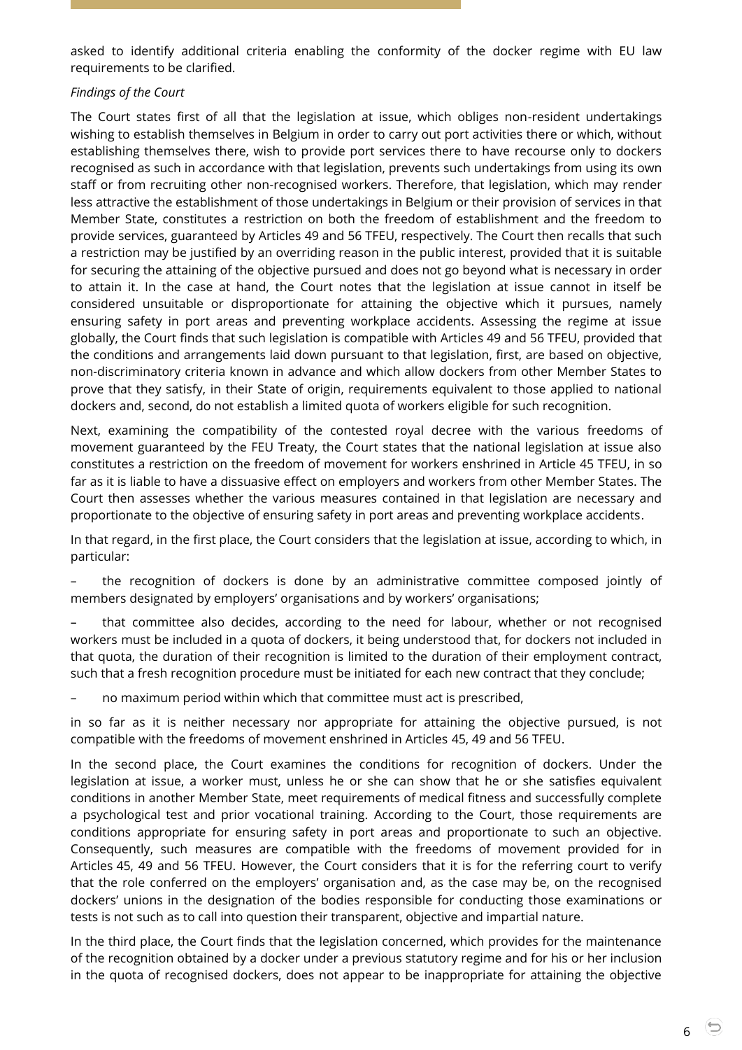asked to identify additional criteria enabling the conformity of the docker regime with EU law requirements to be clarified.

#### *Findings of the Court*

The Court states first of all that the legislation at issue, which obliges non-resident undertakings wishing to establish themselves in Belgium in order to carry out port activities there or which, without establishing themselves there, wish to provide port services there to have recourse only to dockers recognised as such in accordance with that legislation, prevents such undertakings from using its own staff or from recruiting other non-recognised workers. Therefore, that legislation, which may render less attractive the establishment of those undertakings in Belgium or their provision of services in that Member State, constitutes a restriction on both the freedom of establishment and the freedom to provide services, guaranteed by Articles 49 and 56 TFEU, respectively. The Court then recalls that such a restriction may be justified by an overriding reason in the public interest, provided that it is suitable for securing the attaining of the objective pursued and does not go beyond what is necessary in order to attain it. In the case at hand, the Court notes that the legislation at issue cannot in itself be considered unsuitable or disproportionate for attaining the objective which it pursues, namely ensuring safety in port areas and preventing workplace accidents. Assessing the regime at issue globally, the Court finds that such legislation is compatible with Articles 49 and 56 TFEU, provided that the conditions and arrangements laid down pursuant to that legislation, first, are based on objective, non-discriminatory criteria known in advance and which allow dockers from other Member States to prove that they satisfy, in their State of origin, requirements equivalent to those applied to national dockers and, second, do not establish a limited quota of workers eligible for such recognition.

Next, examining the compatibility of the contested royal decree with the various freedoms of movement guaranteed by the FEU Treaty, the Court states that the national legislation at issue also constitutes a restriction on the freedom of movement for workers enshrined in Article 45 TFEU, in so far as it is liable to have a dissuasive effect on employers and workers from other Member States. The Court then assesses whether the various measures contained in that legislation are necessary and proportionate to the objective of ensuring safety in port areas and preventing workplace accidents.

In that regard, in the first place, the Court considers that the legislation at issue, according to which, in particular:

– the recognition of dockers is done by an administrative committee composed jointly of members designated by employers' organisations and by workers' organisations;

– that committee also decides, according to the need for labour, whether or not recognised workers must be included in a quota of dockers, it being understood that, for dockers not included in that quota, the duration of their recognition is limited to the duration of their employment contract, such that a fresh recognition procedure must be initiated for each new contract that they conclude;

– no maximum period within which that committee must act is prescribed,

in so far as it is neither necessary nor appropriate for attaining the objective pursued, is not compatible with the freedoms of movement enshrined in Articles 45, 49 and 56 TFEU.

In the second place, the Court examines the conditions for recognition of dockers. Under the legislation at issue, a worker must, unless he or she can show that he or she satisfies equivalent conditions in another Member State, meet requirements of medical fitness and successfully complete a psychological test and prior vocational training. According to the Court, those requirements are conditions appropriate for ensuring safety in port areas and proportionate to such an objective. Consequently, such measures are compatible with the freedoms of movement provided for in Articles 45, 49 and 56 TFEU. However, the Court considers that it is for the referring court to verify that the role conferred on the employers' organisation and, as the case may be, on the recognised dockers' unions in the designation of the bodies responsible for conducting those examinations or tests is not such as to call into question their transparent, objective and impartial nature.

In the third place, the Court finds that the legislation concerned, which provides for the maintenance of the recognition obtained by a docker under a previous statutory regime and for his or her inclusion in the quota of recognised dockers, does not appear to be inappropriate for attaining the objective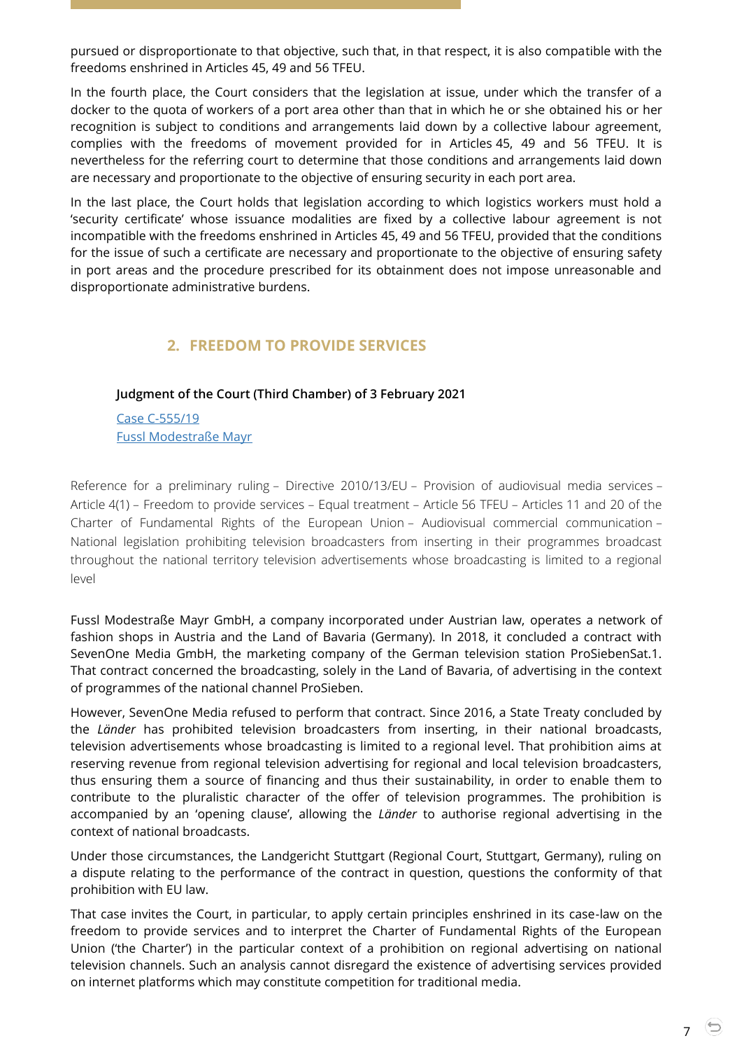pursued or disproportionate to that objective, such that, in that respect, it is also compatible with the freedoms enshrined in Articles 45, 49 and 56 TFEU.

In the fourth place, the Court considers that the legislation at issue, under which the transfer of a docker to the quota of workers of a port area other than that in which he or she obtained his or her recognition is subject to conditions and arrangements laid down by a collective labour agreement, complies with the freedoms of movement provided for in Articles 45, 49 and 56 TFEU. It is nevertheless for the referring court to determine that those conditions and arrangements laid down are necessary and proportionate to the objective of ensuring security in each port area.

In the last place, the Court holds that legislation according to which logistics workers must hold a 'security certificate' whose issuance modalities are fixed by a collective labour agreement is not incompatible with the freedoms enshrined in Articles 45, 49 and 56 TFEU, provided that the conditions for the issue of such a certificate are necessary and proportionate to the objective of ensuring safety in port areas and the procedure prescribed for its obtainment does not impose unreasonable and disproportionate administrative burdens.

# **2. FREEDOM TO PROVIDE SERVICES**

## <span id="page-6-1"></span><span id="page-6-0"></span>**Judgment of the Court (Third Chamber) of 3 February 2021**

Case [C-555/19](https://curia.europa.eu/juris/document/document.jsf?text=&docid=237285&pageIndex=0&doclang=EN&mode=lst&dir=&occ=first&part=1&cid=5711348) [Fussl Modestraße Mayr](https://curia.europa.eu/juris/document/document.jsf?text=&docid=237285&pageIndex=0&doclang=EN&mode=lst&dir=&occ=first&part=1&cid=5711348)

Reference for a preliminary ruling – Directive 2010/13/EU – Provision of audiovisual media services – Article 4(1) – Freedom to provide services – Equal treatment – Article 56 TFEU – Articles 11 and 20 of the Charter of Fundamental Rights of the European Union – Audiovisual commercial communication – National legislation prohibiting television broadcasters from inserting in their programmes broadcast throughout the national territory television advertisements whose broadcasting is limited to a regional level

Fussl Modestraße Mayr GmbH, a company incorporated under Austrian law, operates a network of fashion shops in Austria and the Land of Bavaria (Germany). In 2018, it concluded a contract with SevenOne Media GmbH, the marketing company of the German television station ProSiebenSat.1. That contract concerned the broadcasting, solely in the Land of Bavaria, of advertising in the context of programmes of the national channel ProSieben.

However, SevenOne Media refused to perform that contract. Since 2016, a State Treaty concluded by the *Länder* has prohibited television broadcasters from inserting, in their national broadcasts, television advertisements whose broadcasting is limited to a regional level. That prohibition aims at reserving revenue from regional television advertising for regional and local television broadcasters, thus ensuring them a source of financing and thus their sustainability, in order to enable them to contribute to the pluralistic character of the offer of television programmes. The prohibition is accompanied by an 'opening clause', allowing the *Länder* to authorise regional advertising in the context of national broadcasts.

Under those circumstances, the Landgericht Stuttgart (Regional Court, Stuttgart, Germany), ruling on a dispute relating to the performance of the contract in question, questions the conformity of that prohibition with EU law.

That case invites the Court, in particular, to apply certain principles enshrined in its case-law on the freedom to provide services and to interpret the Charter of Fundamental Rights of the European Union ('the Charter') in the particular context of a prohibition on regional advertising on national television channels. Such an analysis cannot disregard the existence of advertising services provided on internet platforms which may constitute competition for traditional media.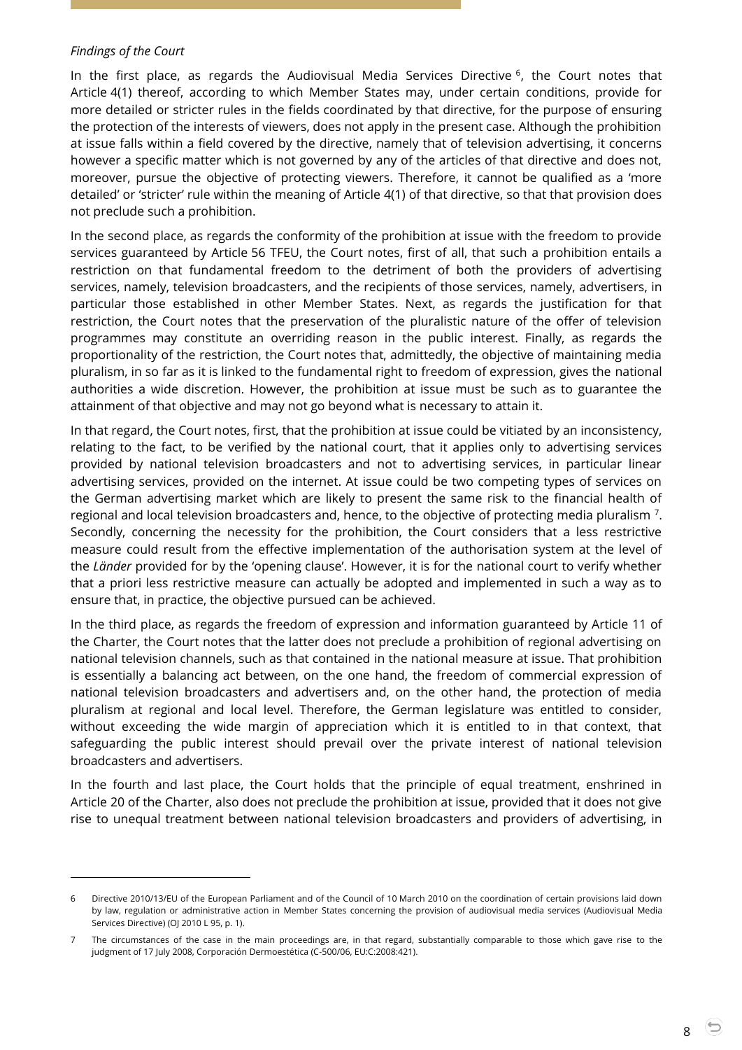#### *Findings of the Court*

 $\overline{a}$ 

In the first place, as regards the Audiovisual Media Services Directive <sup>6</sup>, the Court notes that Article 4(1) thereof, according to which Member States may, under certain conditions, provide for more detailed or stricter rules in the fields coordinated by that directive, for the purpose of ensuring the protection of the interests of viewers, does not apply in the present case. Although the prohibition at issue falls within a field covered by the directive, namely that of television advertising, it concerns however a specific matter which is not governed by any of the articles of that directive and does not, moreover, pursue the objective of protecting viewers. Therefore, it cannot be qualified as a 'more detailed' or 'stricter' rule within the meaning of Article 4(1) of that directive, so that that provision does not preclude such a prohibition.

In the second place, as regards the conformity of the prohibition at issue with the freedom to provide services guaranteed by Article 56 TFEU, the Court notes, first of all, that such a prohibition entails a restriction on that fundamental freedom to the detriment of both the providers of advertising services, namely, television broadcasters, and the recipients of those services, namely, advertisers, in particular those established in other Member States. Next, as regards the justification for that restriction, the Court notes that the preservation of the pluralistic nature of the offer of television programmes may constitute an overriding reason in the public interest. Finally, as regards the proportionality of the restriction, the Court notes that, admittedly, the objective of maintaining media pluralism, in so far as it is linked to the fundamental right to freedom of expression, gives the national authorities a wide discretion. However, the prohibition at issue must be such as to guarantee the attainment of that objective and may not go beyond what is necessary to attain it.

In that regard, the Court notes, first, that the prohibition at issue could be vitiated by an inconsistency, relating to the fact, to be verified by the national court, that it applies only to advertising services provided by national television broadcasters and not to advertising services, in particular linear advertising services, provided on the internet. At issue could be two competing types of services on the German advertising market which are likely to present the same risk to the financial health of regional and local television broadcasters and, hence, to the objective of protecting media pluralism <sup>7</sup> . Secondly, concerning the necessity for the prohibition, the Court considers that a less restrictive measure could result from the effective implementation of the authorisation system at the level of the *Länder* provided for by the 'opening clause'. However, it is for the national court to verify whether that a priori less restrictive measure can actually be adopted and implemented in such a way as to ensure that, in practice, the objective pursued can be achieved.

In the third place, as regards the freedom of expression and information guaranteed by Article 11 of the Charter, the Court notes that the latter does not preclude a prohibition of regional advertising on national television channels, such as that contained in the national measure at issue. That prohibition is essentially a balancing act between, on the one hand, the freedom of commercial expression of national television broadcasters and advertisers and, on the other hand, the protection of media pluralism at regional and local level. Therefore, the German legislature was entitled to consider, without exceeding the wide margin of appreciation which it is entitled to in that context, that safeguarding the public interest should prevail over the private interest of national television broadcasters and advertisers.

In the fourth and last place, the Court holds that the principle of equal treatment, enshrined in Article 20 of the Charter, also does not preclude the prohibition at issue, provided that it does not give rise to unequal treatment between national television broadcasters and providers of advertising, in

<sup>6</sup> Directive 2010/13/EU of the European Parliament and of the Council of 10 March 2010 on the coordination of certain provisions laid down by law, regulation or administrative action in Member States concerning the provision of audiovisual media services (Audiovisual Media Services Directive) (OJ 2010 L 95, p. 1).

<sup>7</sup> The circumstances of the case in the main proceedings are, in that regard, substantially comparable to those which gave rise to the judgment of 17 July 2008, Corporación Dermoestética (C-500/06, EU:C:2008:421).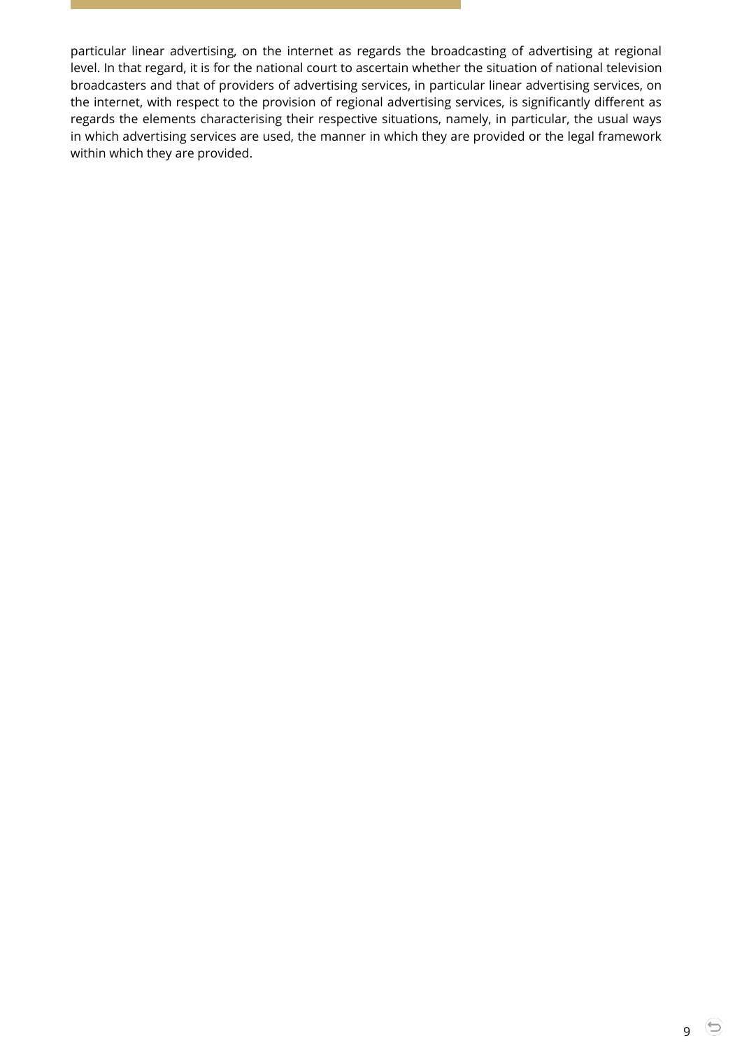particular linear advertising, on the internet as regards the broadcasting of advertising at regional level. In that regard, it is for the national court to ascertain whether the situation of national television broadcasters and that of providers of advertising services, in particular linear advertising services, on the internet, with respect to the provision of regional advertising services, is significantly different as regards the elements characterising their respective situations, namely, in particular, the usual ways in which advertising services are used, the manner in which they are provided or the legal framework within which they are provided.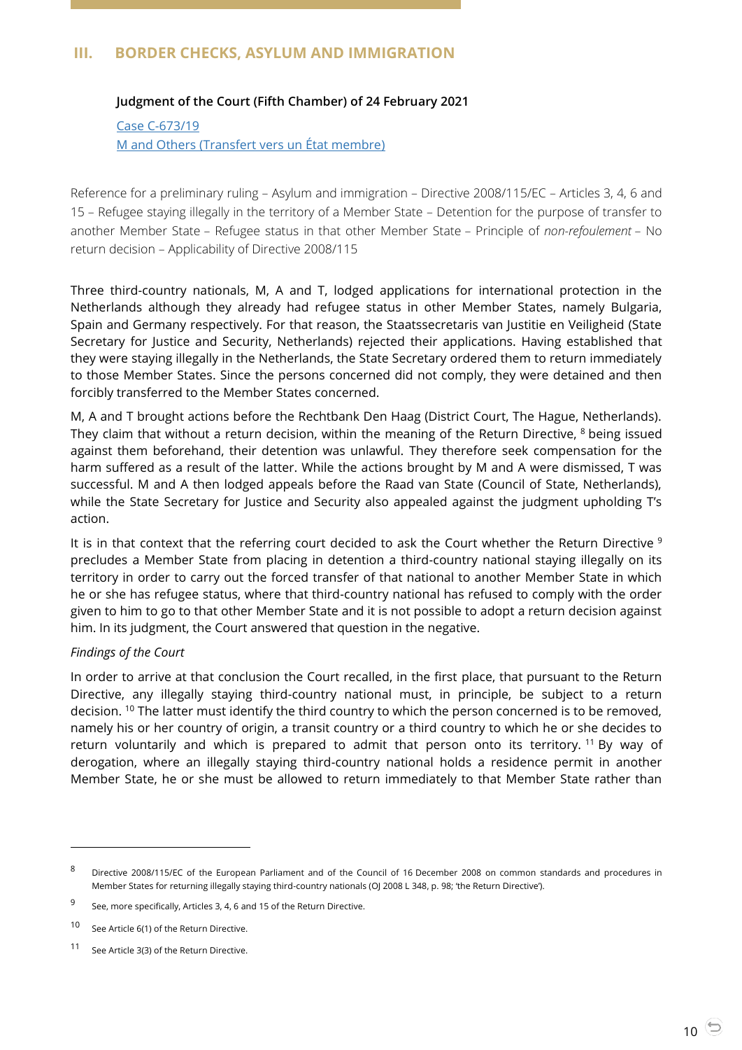# <span id="page-9-1"></span><span id="page-9-0"></span>**III. BORDER CHECKS, ASYLUM AND IMMIGRATION**

## **Judgment of the Court (Fifth Chamber) of 24 February 2021**

Case [C-673/19](https://curia.europa.eu/juris/document/document.jsf?text=&docid=238142&pageIndex=0&doclang=EN&mode=lst&dir=&occ=first&part=1&cid=5712829) M and Others [\(Transfert vers un État membre\)](https://curia.europa.eu/juris/document/document.jsf?text=&docid=238142&pageIndex=0&doclang=EN&mode=lst&dir=&occ=first&part=1&cid=5712829)

Reference for a preliminary ruling – Asylum and immigration – Directive 2008/115/EC – Articles 3, 4, 6 and 15 – Refugee staying illegally in the territory of a Member State – Detention for the purpose of transfer to another Member State – Refugee status in that other Member State – Principle of *non-refoulement* – No return decision – Applicability of Directive 2008/115

Three third-country nationals, M, A and T, lodged applications for international protection in the Netherlands although they already had refugee status in other Member States, namely Bulgaria, Spain and Germany respectively. For that reason, the Staatssecretaris van Justitie en Veiligheid (State Secretary for Justice and Security, Netherlands) rejected their applications. Having established that they were staying illegally in the Netherlands, the State Secretary ordered them to return immediately to those Member States. Since the persons concerned did not comply, they were detained and then forcibly transferred to the Member States concerned.

M, A and T brought actions before the Rechtbank Den Haag (District Court, The Hague, Netherlands). They claim that without a return decision, within the meaning of the Return Directive,  $8$  being issued against them beforehand, their detention was unlawful. They therefore seek compensation for the harm suffered as a result of the latter. While the actions brought by M and A were dismissed, T was successful. M and A then lodged appeals before the Raad van State (Council of State, Netherlands), while the State Secretary for Justice and Security also appealed against the judgment upholding T's action.

It is in that context that the referring court decided to ask the Court whether the Return Directive <sup>9</sup> precludes a Member State from placing in detention a third-country national staying illegally on its territory in order to carry out the forced transfer of that national to another Member State in which he or she has refugee status, where that third-country national has refused to comply with the order given to him to go to that other Member State and it is not possible to adopt a return decision against him. In its judgment, the Court answered that question in the negative.

#### *Findings of the Court*

 $\overline{a}$ 

In order to arrive at that conclusion the Court recalled, in the first place, that pursuant to the Return Directive, any illegally staying third-country national must, in principle, be subject to a return decision. <sup>10</sup> The latter must identify the third country to which the person concerned is to be removed, namely his or her country of origin, a transit country or a third country to which he or she decides to return voluntarily and which is prepared to admit that person onto its territory. <sup>11</sup> By way of derogation, where an illegally staying third-country national holds a residence permit in another Member State, he or she must be allowed to return immediately to that Member State rather than

<sup>8</sup> Directive 2008/115/EC of the European Parliament and of the Council of 16 December 2008 on common standards and procedures in Member States for returning illegally staying third-country nationals (OJ 2008 L 348, p. 98; 'the Return Directive').

<sup>9</sup> See, more specifically, Articles 3, 4, 6 and 15 of the Return Directive.

<sup>10</sup> See Article 6(1) of the Return Directive.

<sup>11</sup> See Article 3(3) of the Return Directive.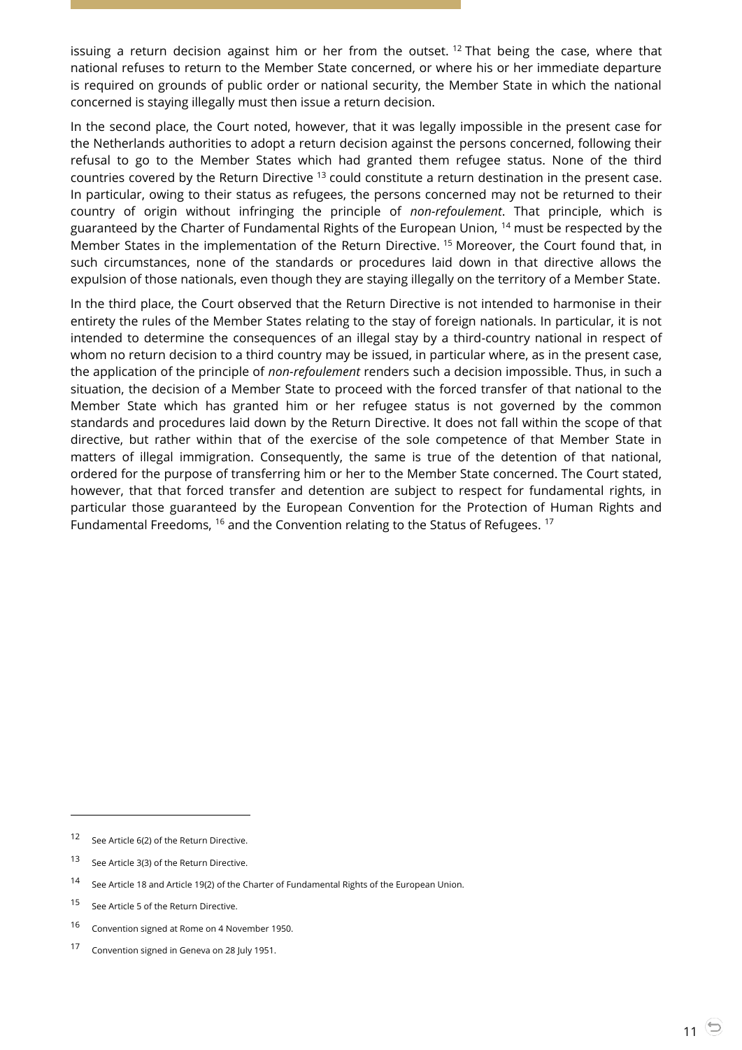issuing a return decision against him or her from the outset.<sup>12</sup> That being the case, where that national refuses to return to the Member State concerned, or where his or her immediate departure is required on grounds of public order or national security, the Member State in which the national concerned is staying illegally must then issue a return decision.

In the second place, the Court noted, however, that it was legally impossible in the present case for the Netherlands authorities to adopt a return decision against the persons concerned, following their refusal to go to the Member States which had granted them refugee status. None of the third countries covered by the Return Directive <sup>13</sup> could constitute a return destination in the present case. In particular, owing to their status as refugees, the persons concerned may not be returned to their country of origin without infringing the principle of *non-refoulement*. That principle, which is guaranteed by the Charter of Fundamental Rights of the European Union, <sup>14</sup> must be respected by the Member States in the implementation of the Return Directive. <sup>15</sup> Moreover, the Court found that, in such circumstances, none of the standards or procedures laid down in that directive allows the expulsion of those nationals, even though they are staying illegally on the territory of a Member State.

In the third place, the Court observed that the Return Directive is not intended to harmonise in their entirety the rules of the Member States relating to the stay of foreign nationals. In particular, it is not intended to determine the consequences of an illegal stay by a third-country national in respect of whom no return decision to a third country may be issued, in particular where, as in the present case, the application of the principle of *non-refoulement* renders such a decision impossible. Thus, in such a situation, the decision of a Member State to proceed with the forced transfer of that national to the Member State which has granted him or her refugee status is not governed by the common standards and procedures laid down by the Return Directive. It does not fall within the scope of that directive, but rather within that of the exercise of the sole competence of that Member State in matters of illegal immigration. Consequently, the same is true of the detention of that national, ordered for the purpose of transferring him or her to the Member State concerned. The Court stated, however, that that forced transfer and detention are subject to respect for fundamental rights, in particular those guaranteed by the European Convention for the Protection of Human Rights and Fundamental Freedoms, <sup>16</sup> and the Convention relating to the Status of Refugees. <sup>17</sup>

<sup>12</sup> See Article 6(2) of the Return Directive.

<sup>13</sup> See Article 3(3) of the Return Directive.

<sup>14</sup> See Article 18 and Article 19(2) of the Charter of Fundamental Rights of the European Union.

<sup>15</sup> See Article 5 of the Return Directive.

<sup>16</sup> Convention signed at Rome on 4 November 1950.

<sup>17</sup> Convention signed in Geneva on 28 July 1951.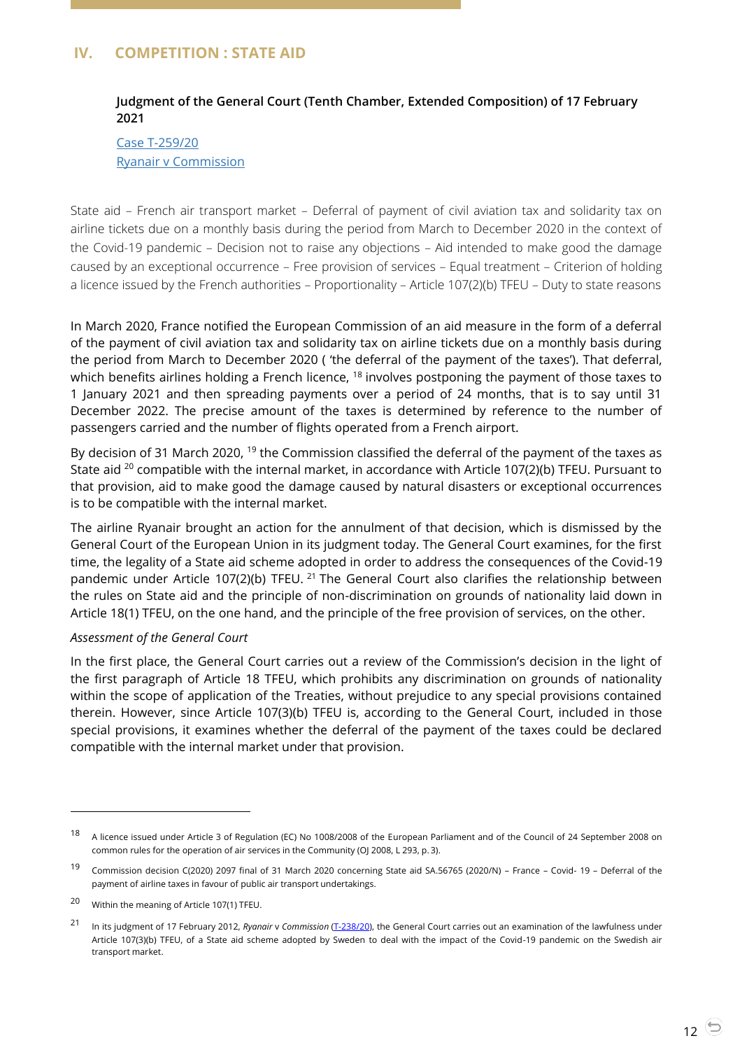# <span id="page-11-1"></span><span id="page-11-0"></span>**IV. COMPETITION : STATE AID**

## **Judgment of the General Court (Tenth Chamber, Extended Composition) of 17 February 2021**

Case [T-259/20](https://curia.europa.eu/juris/document/document.jsf;jsessionid=ED84E026C177AC8BA3DBEC5407258638?text=&docid=237882&pageIndex=0&doclang=EN&mode=lst&dir=&occ=first&part=1&cid=5915734) [Ryanair v Commission](https://curia.europa.eu/juris/document/document.jsf;jsessionid=ED84E026C177AC8BA3DBEC5407258638?text=&docid=237882&pageIndex=0&doclang=EN&mode=lst&dir=&occ=first&part=1&cid=5915734)

State aid – French air transport market – Deferral of payment of civil aviation tax and solidarity tax on airline tickets due on a monthly basis during the period from March to December 2020 in the context of the Covid-19 pandemic – Decision not to raise any objections – Aid intended to make good the damage caused by an exceptional occurrence – Free provision of services – Equal treatment – Criterion of holding a licence issued by the French authorities – Proportionality – Article 107(2)(b) TFEU – Duty to state reasons

In March 2020, France notified the European Commission of an aid measure in the form of a deferral of the payment of civil aviation tax and solidarity tax on airline tickets due on a monthly basis during the period from March to December 2020 ( 'the deferral of the payment of the taxes'). That deferral, which benefits airlines holding a French licence, <sup>18</sup> involves postponing the payment of those taxes to 1 January 2021 and then spreading payments over a period of 24 months, that is to say until 31 December 2022. The precise amount of the taxes is determined by reference to the number of passengers carried and the number of flights operated from a French airport.

By decision of 31 March 2020, <sup>19</sup> the Commission classified the deferral of the payment of the taxes as State aid <sup>20</sup> compatible with the internal market, in accordance with Article 107(2)(b) TFEU. Pursuant to that provision, aid to make good the damage caused by natural disasters or exceptional occurrences is to be compatible with the internal market.

The airline Ryanair brought an action for the annulment of that decision, which is dismissed by the General Court of the European Union in its judgment today. The General Court examines, for the first time, the legality of a State aid scheme adopted in order to address the consequences of the Covid-19 pandemic under Article 107(2)(b) TFEU. <sup>21</sup> The General Court also clarifies the relationship between the rules on State aid and the principle of non-discrimination on grounds of nationality laid down in Article 18(1) TFEU, on the one hand, and the principle of the free provision of services, on the other.

#### *Assessment of the General Court*

In the first place, the General Court carries out a review of the Commission's decision in the light of the first paragraph of Article 18 TFEU, which prohibits any discrimination on grounds of nationality within the scope of application of the Treaties, without prejudice to any special provisions contained therein. However, since Article 107(3)(b) TFEU is, according to the General Court, included in those special provisions, it examines whether the deferral of the payment of the taxes could be declared compatible with the internal market under that provision.

<sup>&</sup>lt;sup>18</sup> A licence issued under Article 3 of Regulation (EC) No 1008/2008 of the European Parliament and of the Council of 24 September 2008 on common rules for the operation of air services in the Community (OJ 2008, L 293, p. 3).

<sup>19</sup> Commission decision C(2020) 2097 final of 31 March 2020 concerning State aid SA.56765 (2020/N) – France – Covid- <sup>19</sup>– Deferral of the payment of airline taxes in favour of public air transport undertakings.

<sup>20</sup> Within the meaning of Article 107(1) TFEU.

<sup>21</sup> In its judgment of 17 February 2012, *Ryanair* v *Commission* (T-238/20), the General Court carries out an examination of the lawfulness under Article 107(3)(b) TFEU, of a State aid scheme adopted by Sweden to deal with the impact of the Covid-19 pandemic on the Swedish air transport market.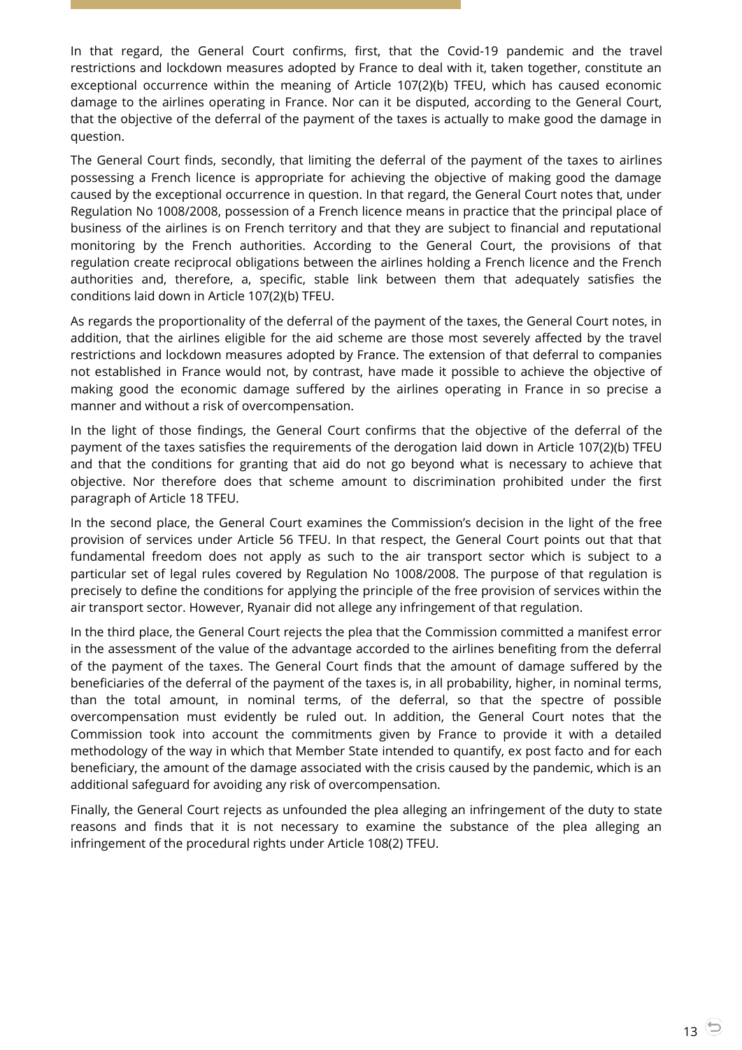In that regard, the General Court confirms, first, that the Covid-19 pandemic and the travel restrictions and lockdown measures adopted by France to deal with it, taken together, constitute an exceptional occurrence within the meaning of Article 107(2)(b) TFEU, which has caused economic damage to the airlines operating in France. Nor can it be disputed, according to the General Court, that the objective of the deferral of the payment of the taxes is actually to make good the damage in question.

The General Court finds, secondly, that limiting the deferral of the payment of the taxes to airlines possessing a French licence is appropriate for achieving the objective of making good the damage caused by the exceptional occurrence in question. In that regard, the General Court notes that, under Regulation No 1008/2008, possession of a French licence means in practice that the principal place of business of the airlines is on French territory and that they are subject to financial and reputational monitoring by the French authorities. According to the General Court, the provisions of that regulation create reciprocal obligations between the airlines holding a French licence and the French authorities and, therefore, a, specific, stable link between them that adequately satisfies the conditions laid down in Article 107(2)(b) TFEU.

As regards the proportionality of the deferral of the payment of the taxes, the General Court notes, in addition, that the airlines eligible for the aid scheme are those most severely affected by the travel restrictions and lockdown measures adopted by France. The extension of that deferral to companies not established in France would not, by contrast, have made it possible to achieve the objective of making good the economic damage suffered by the airlines operating in France in so precise a manner and without a risk of overcompensation.

In the light of those findings, the General Court confirms that the objective of the deferral of the payment of the taxes satisfies the requirements of the derogation laid down in Article 107(2)(b) TFEU and that the conditions for granting that aid do not go beyond what is necessary to achieve that objective. Nor therefore does that scheme amount to discrimination prohibited under the first paragraph of Article 18 TFEU.

In the second place, the General Court examines the Commission's decision in the light of the free provision of services under Article 56 TFEU. In that respect, the General Court points out that that fundamental freedom does not apply as such to the air transport sector which is subject to a particular set of legal rules covered by Regulation No 1008/2008. The purpose of that regulation is precisely to define the conditions for applying the principle of the free provision of services within the air transport sector. However, Ryanair did not allege any infringement of that regulation.

In the third place, the General Court rejects the plea that the Commission committed a manifest error in the assessment of the value of the advantage accorded to the airlines benefiting from the deferral of the payment of the taxes. The General Court finds that the amount of damage suffered by the beneficiaries of the deferral of the payment of the taxes is, in all probability, higher, in nominal terms, than the total amount, in nominal terms, of the deferral, so that the spectre of possible overcompensation must evidently be ruled out. In addition, the General Court notes that the Commission took into account the commitments given by France to provide it with a detailed methodology of the way in which that Member State intended to quantify, ex post facto and for each beneficiary, the amount of the damage associated with the crisis caused by the pandemic, which is an additional safeguard for avoiding any risk of overcompensation.

Finally, the General Court rejects as unfounded the plea alleging an infringement of the duty to state reasons and finds that it is not necessary to examine the substance of the plea alleging an infringement of the procedural rights under Article 108(2) TFEU.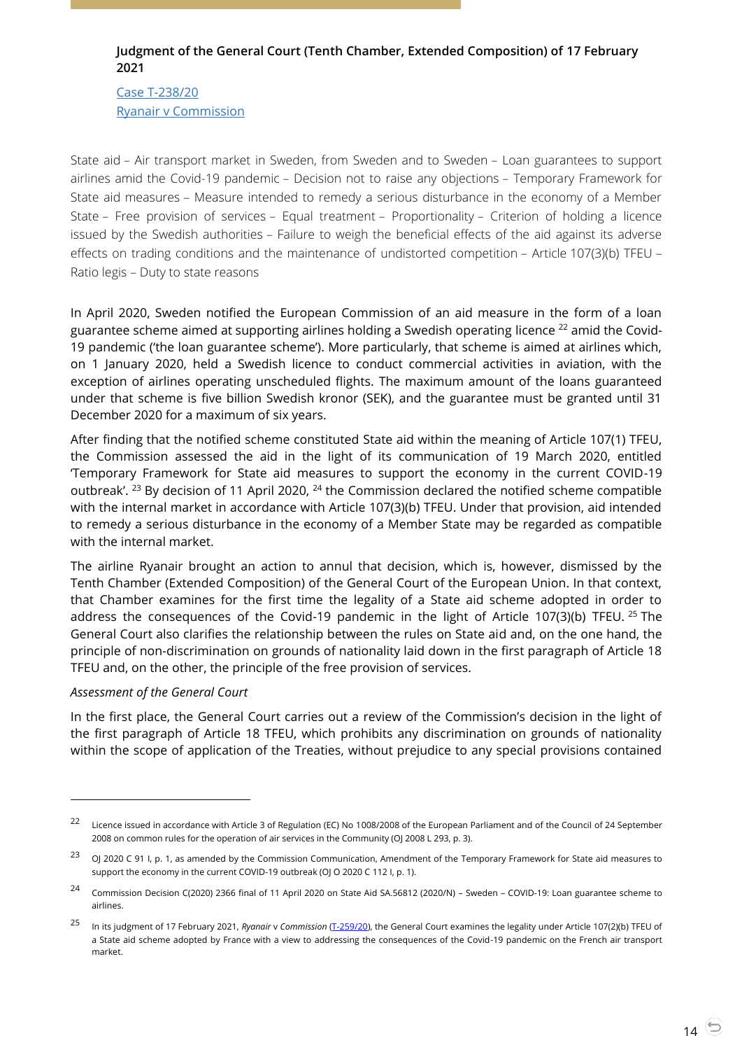# <span id="page-13-0"></span>**Judgment of the General Court (Tenth Chamber, Extended Composition) of 17 February 2021**

Case [T-238/20](https://curia.europa.eu/juris/document/document.jsf?text=&docid=237881&pageIndex=0&doclang=EN&mode=lst&dir=&occ=first&part=1&cid=5715397) Ryanair [v Commission](https://curia.europa.eu/juris/document/document.jsf?text=&docid=237881&pageIndex=0&doclang=EN&mode=lst&dir=&occ=first&part=1&cid=5715397)

State aid – Air transport market in Sweden, from Sweden and to Sweden – Loan guarantees to support airlines amid the Covid-19 pandemic – Decision not to raise any objections – Temporary Framework for State aid measures – Measure intended to remedy a serious disturbance in the economy of a Member State – Free provision of services – Equal treatment – Proportionality – Criterion of holding a licence issued by the Swedish authorities – Failure to weigh the beneficial effects of the aid against its adverse effects on trading conditions and the maintenance of undistorted competition – Article 107(3)(b) TFEU – Ratio legis – Duty to state reasons

In April 2020, Sweden notified the European Commission of an aid measure in the form of a loan guarantee scheme aimed at supporting airlines holding a Swedish operating licence  $^{22}$  amid the Covid-19 pandemic ('the loan guarantee scheme'). More particularly, that scheme is aimed at airlines which, on 1 January 2020, held a Swedish licence to conduct commercial activities in aviation, with the exception of airlines operating unscheduled flights. The maximum amount of the loans guaranteed under that scheme is five billion Swedish kronor (SEK), and the guarantee must be granted until 31 December 2020 for a maximum of six years.

After finding that the notified scheme constituted State aid within the meaning of Article 107(1) TFEU, the Commission assessed the aid in the light of its communication of 19 March 2020, entitled 'Temporary Framework for State aid measures to support the economy in the current COVID-19 outbreak'. <sup>23</sup> By decision of 11 April 2020, <sup>24</sup> the Commission declared the notified scheme compatible with the internal market in accordance with Article 107(3)(b) TFEU. Under that provision, aid intended to remedy a serious disturbance in the economy of a Member State may be regarded as compatible with the internal market.

The airline Ryanair brought an action to annul that decision, which is, however, dismissed by the Tenth Chamber (Extended Composition) of the General Court of the European Union. In that context, that Chamber examines for the first time the legality of a State aid scheme adopted in order to address the consequences of the Covid-19 pandemic in the light of Article 107(3)(b) TFEU. <sup>25</sup> The General Court also clarifies the relationship between the rules on State aid and, on the one hand, the principle of non-discrimination on grounds of nationality laid down in the first paragraph of Article 18 TFEU and, on the other, the principle of the free provision of services.

## *Assessment of the General Court*

 $\overline{a}$ 

In the first place, the General Court carries out a review of the Commission's decision in the light of the first paragraph of Article 18 TFEU, which prohibits any discrimination on grounds of nationality within the scope of application of the Treaties, without prejudice to any special provisions contained

<sup>&</sup>lt;sup>22</sup> Licence issued in accordance with Article 3 of Regulation (EC) No 1008/2008 of the European Parliament and of the Council of 24 September 2008 on common rules for the operation of air services in the Community (OJ 2008 L 293, p. 3).

<sup>&</sup>lt;sup>23</sup> OJ 2020 C 91 I, p. 1, as amended by the Commission Communication, Amendment of the Temporary Framework for State aid measures to support the economy in the current COVID-19 outbreak (OJ O 2020 C 112 I, p. 1).

<sup>24</sup> Commission Decision C(2020) 2366 final of 11 April 2020 on State Aid SA.56812 (2020/N) – Sweden – COVID-19: Loan guarantee scheme to airlines.

<sup>25</sup> In its judgment of 17 February 2021, *Ryanair* v *Commission* (T-259/20), the General Court examines the legality under Article 107(2)(b) TFEU of a State aid scheme adopted by France with a view to addressing the consequences of the Covid-19 pandemic on the French air transport market.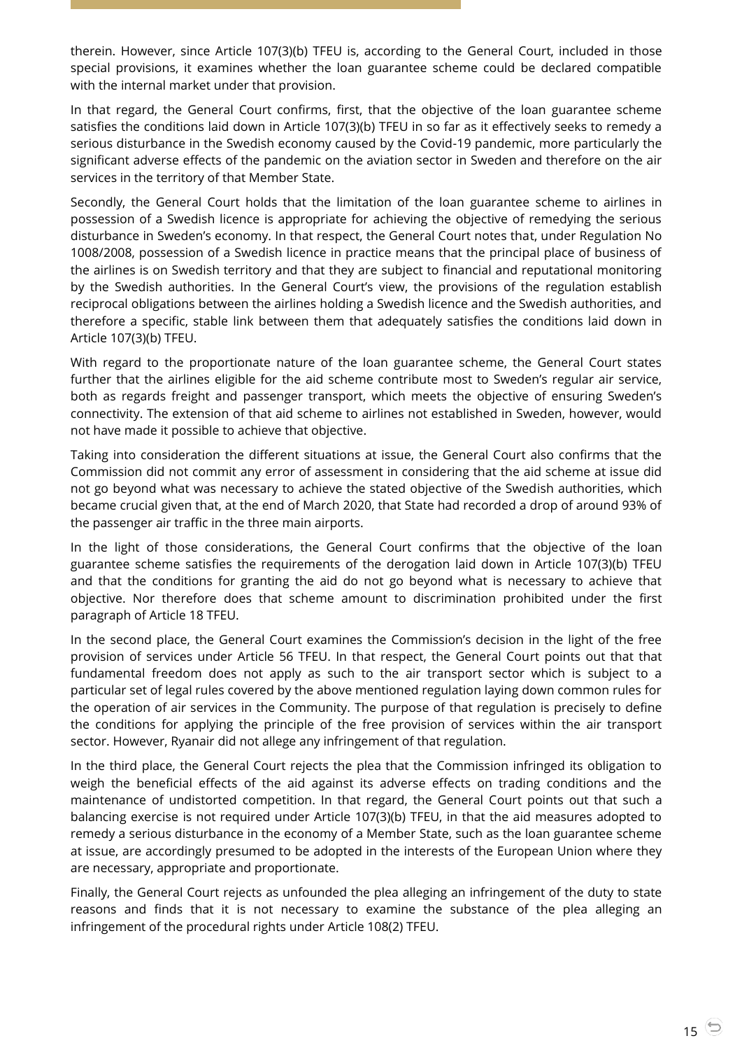therein. However, since Article 107(3)(b) TFEU is, according to the General Court, included in those special provisions, it examines whether the loan guarantee scheme could be declared compatible with the internal market under that provision.

In that regard, the General Court confirms, first, that the objective of the loan guarantee scheme satisfies the conditions laid down in Article 107(3)(b) TFEU in so far as it effectively seeks to remedy a serious disturbance in the Swedish economy caused by the Covid-19 pandemic, more particularly the significant adverse effects of the pandemic on the aviation sector in Sweden and therefore on the air services in the territory of that Member State.

Secondly, the General Court holds that the limitation of the loan guarantee scheme to airlines in possession of a Swedish licence is appropriate for achieving the objective of remedying the serious disturbance in Sweden's economy. In that respect, the General Court notes that, under Regulation No 1008/2008, possession of a Swedish licence in practice means that the principal place of business of the airlines is on Swedish territory and that they are subject to financial and reputational monitoring by the Swedish authorities. In the General Court's view, the provisions of the regulation establish reciprocal obligations between the airlines holding a Swedish licence and the Swedish authorities, and therefore a specific, stable link between them that adequately satisfies the conditions laid down in Article 107(3)(b) TFEU.

With regard to the proportionate nature of the loan guarantee scheme, the General Court states further that the airlines eligible for the aid scheme contribute most to Sweden's regular air service, both as regards freight and passenger transport, which meets the objective of ensuring Sweden's connectivity. The extension of that aid scheme to airlines not established in Sweden, however, would not have made it possible to achieve that objective.

Taking into consideration the different situations at issue, the General Court also confirms that the Commission did not commit any error of assessment in considering that the aid scheme at issue did not go beyond what was necessary to achieve the stated objective of the Swedish authorities, which became crucial given that, at the end of March 2020, that State had recorded a drop of around 93% of the passenger air traffic in the three main airports.

In the light of those considerations, the General Court confirms that the objective of the loan guarantee scheme satisfies the requirements of the derogation laid down in Article 107(3)(b) TFEU and that the conditions for granting the aid do not go beyond what is necessary to achieve that objective. Nor therefore does that scheme amount to discrimination prohibited under the first paragraph of Article 18 TFEU.

In the second place, the General Court examines the Commission's decision in the light of the free provision of services under Article 56 TFEU. In that respect, the General Court points out that that fundamental freedom does not apply as such to the air transport sector which is subject to a particular set of legal rules covered by the above mentioned regulation laying down common rules for the operation of air services in the Community. The purpose of that regulation is precisely to define the conditions for applying the principle of the free provision of services within the air transport sector. However, Ryanair did not allege any infringement of that regulation.

In the third place, the General Court rejects the plea that the Commission infringed its obligation to weigh the beneficial effects of the aid against its adverse effects on trading conditions and the maintenance of undistorted competition. In that regard, the General Court points out that such a balancing exercise is not required under Article 107(3)(b) TFEU, in that the aid measures adopted to remedy a serious disturbance in the economy of a Member State, such as the loan guarantee scheme at issue, are accordingly presumed to be adopted in the interests of the European Union where they are necessary, appropriate and proportionate.

Finally, the General Court rejects as unfounded the plea alleging an infringement of the duty to state reasons and finds that it is not necessary to examine the substance of the plea alleging an infringement of the procedural rights under Article 108(2) TFEU.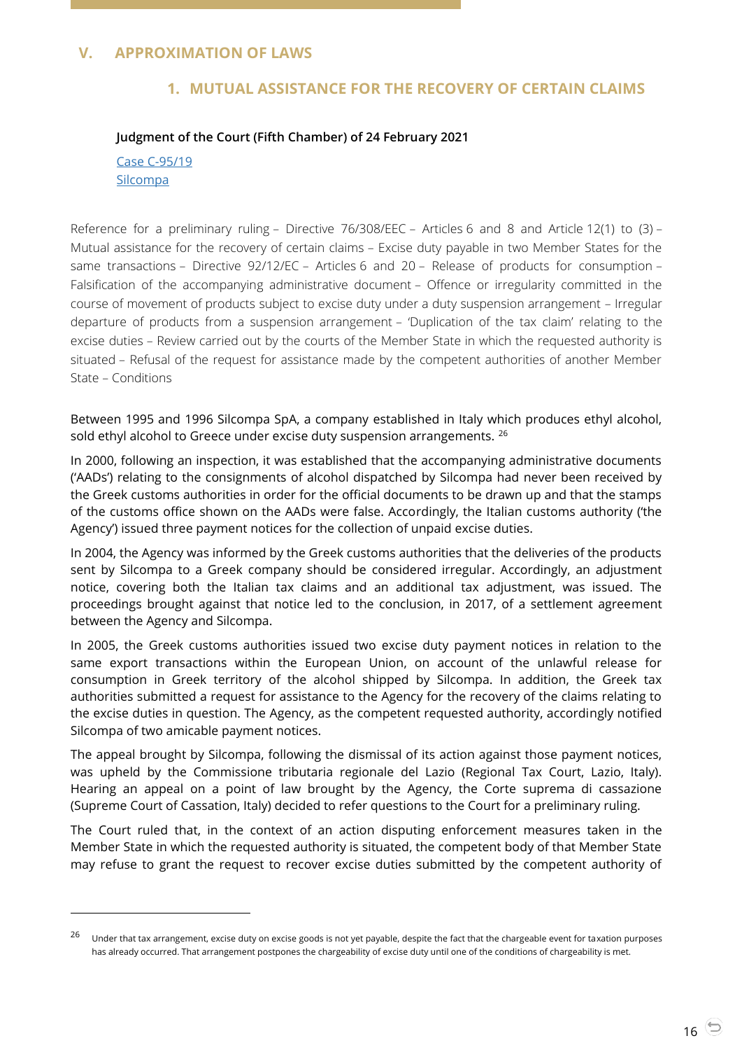## <span id="page-15-2"></span><span id="page-15-1"></span><span id="page-15-0"></span>**V. APPROXIMATION OF LAWS**

## **1. MUTUAL ASSISTANCE FOR THE RECOVERY OF CERTAIN CLAIMS**

#### **Judgment of the Court (Fifth Chamber) of 24 February 2021**

Case [C-95/19](https://curia.europa.eu/juris/document/document.jsf?text=&docid=238141&pageIndex=0&doclang=EN&mode=lst&dir=&occ=first&part=1&cid=5719924) **[Silcompa](https://curia.europa.eu/juris/document/document.jsf?text=&docid=238141&pageIndex=0&doclang=EN&mode=lst&dir=&occ=first&part=1&cid=5719924)** 

-

Reference for a preliminary ruling – Directive 76/308/EEC – Articles 6 and 8 and Article 12(1) to (3) – Mutual assistance for the recovery of certain claims – Excise duty payable in two Member States for the same transactions – Directive 92/12/EC – Articles 6 and 20 – Release of products for consumption – Falsification of the accompanying administrative document – Offence or irregularity committed in the course of movement of products subject to excise duty under a duty suspension arrangement – Irregular departure of products from a suspension arrangement – 'Duplication of the tax claim' relating to the excise duties – Review carried out by the courts of the Member State in which the requested authority is situated – Refusal of the request for assistance made by the competent authorities of another Member State – Conditions

Between 1995 and 1996 Silcompa SpA, a company established in Italy which produces ethyl alcohol, sold ethyl alcohol to Greece under excise duty suspension arrangements. <sup>26</sup>

In 2000, following an inspection, it was established that the accompanying administrative documents ('AADs') relating to the consignments of alcohol dispatched by Silcompa had never been received by the Greek customs authorities in order for the official documents to be drawn up and that the stamps of the customs office shown on the AADs were false. Accordingly, the Italian customs authority ('the Agency') issued three payment notices for the collection of unpaid excise duties.

In 2004, the Agency was informed by the Greek customs authorities that the deliveries of the products sent by Silcompa to a Greek company should be considered irregular. Accordingly, an adjustment notice, covering both the Italian tax claims and an additional tax adjustment, was issued. The proceedings brought against that notice led to the conclusion, in 2017, of a settlement agreement between the Agency and Silcompa.

In 2005, the Greek customs authorities issued two excise duty payment notices in relation to the same export transactions within the European Union, on account of the unlawful release for consumption in Greek territory of the alcohol shipped by Silcompa. In addition, the Greek tax authorities submitted a request for assistance to the Agency for the recovery of the claims relating to the excise duties in question. The Agency, as the competent requested authority, accordingly notified Silcompa of two amicable payment notices.

The appeal brought by Silcompa, following the dismissal of its action against those payment notices, was upheld by the Commissione tributaria regionale del Lazio (Regional Tax Court, Lazio, Italy). Hearing an appeal on a point of law brought by the Agency, the Corte suprema di cassazione (Supreme Court of Cassation, Italy) decided to refer questions to the Court for a preliminary ruling.

The Court ruled that, in the context of an action disputing enforcement measures taken in the Member State in which the requested authority is situated, the competent body of that Member State may refuse to grant the request to recover excise duties submitted by the competent authority of

<sup>&</sup>lt;sup>26</sup> Under that tax arrangement, excise duty on excise goods is not yet payable, despite the fact that the chargeable event for taxation purposes has already occurred. That arrangement postpones the chargeability of excise duty until one of the conditions of chargeability is met.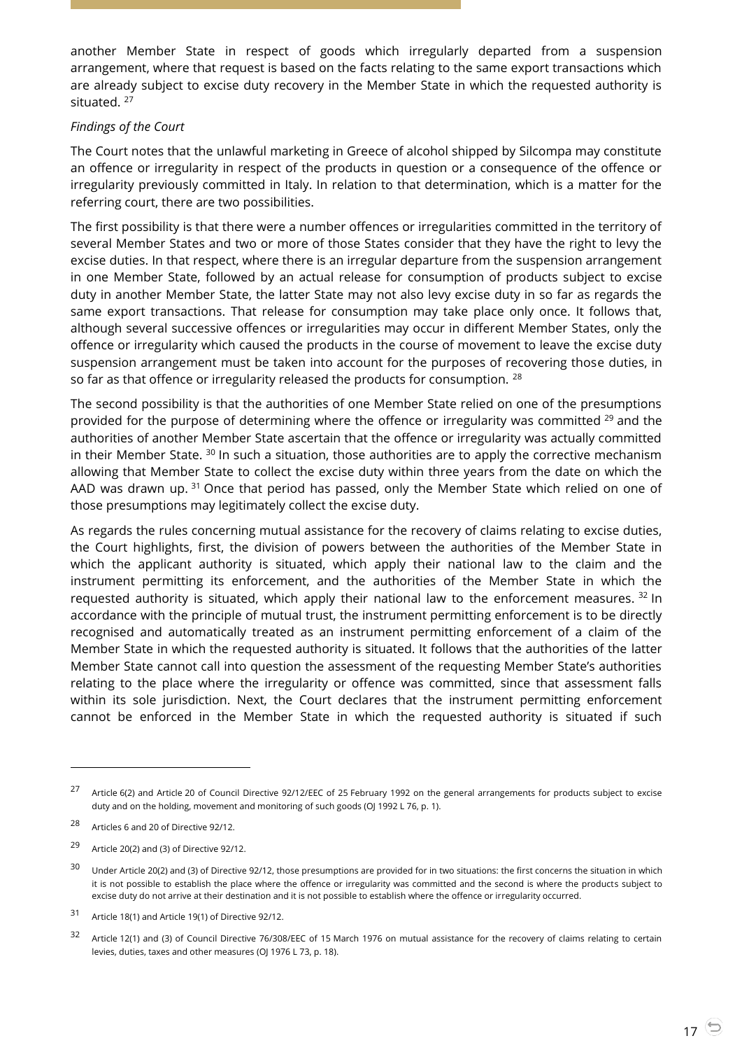another Member State in respect of goods which irregularly departed from a suspension arrangement, where that request is based on the facts relating to the same export transactions which are already subject to excise duty recovery in the Member State in which the requested authority is situated.<sup>27</sup>

#### *Findings of the Court*

The Court notes that the unlawful marketing in Greece of alcohol shipped by Silcompa may constitute an offence or irregularity in respect of the products in question or a consequence of the offence or irregularity previously committed in Italy. In relation to that determination, which is a matter for the referring court, there are two possibilities.

The first possibility is that there were a number offences or irregularities committed in the territory of several Member States and two or more of those States consider that they have the right to levy the excise duties. In that respect, where there is an irregular departure from the suspension arrangement in one Member State, followed by an actual release for consumption of products subject to excise duty in another Member State, the latter State may not also levy excise duty in so far as regards the same export transactions. That release for consumption may take place only once. It follows that, although several successive offences or irregularities may occur in different Member States, only the offence or irregularity which caused the products in the course of movement to leave the excise duty suspension arrangement must be taken into account for the purposes of recovering those duties, in so far as that offence or irregularity released the products for consumption. <sup>28</sup>

The second possibility is that the authorities of one Member State relied on one of the presumptions provided for the purpose of determining where the offence or irregularity was committed <sup>29</sup> and the authorities of another Member State ascertain that the offence or irregularity was actually committed in their Member State.  $30$  In such a situation, those authorities are to apply the corrective mechanism allowing that Member State to collect the excise duty within three years from the date on which the AAD was drawn up.  $31$  Once that period has passed, only the Member State which relied on one of those presumptions may legitimately collect the excise duty.

As regards the rules concerning mutual assistance for the recovery of claims relating to excise duties, the Court highlights, first, the division of powers between the authorities of the Member State in which the applicant authority is situated, which apply their national law to the claim and the instrument permitting its enforcement, and the authorities of the Member State in which the requested authority is situated, which apply their national law to the enforcement measures.  $32 \text{ In }$ accordance with the principle of mutual trust, the instrument permitting enforcement is to be directly recognised and automatically treated as an instrument permitting enforcement of a claim of the Member State in which the requested authority is situated. It follows that the authorities of the latter Member State cannot call into question the assessment of the requesting Member State's authorities relating to the place where the irregularity or offence was committed, since that assessment falls within its sole jurisdiction. Next, the Court declares that the instrument permitting enforcement cannot be enforced in the Member State in which the requested authority is situated if such

 $\overline{a}$ 

<sup>29</sup> Article 20(2) and (3) of Directive 92/12.

<sup>&</sup>lt;sup>27</sup> Article 6(2) and Article 20 of Council Directive 92/12/EEC of 25 February 1992 on the general arrangements for products subject to excise duty and on the holding, movement and monitoring of such goods (OJ 1992 L 76, p. 1).

<sup>28</sup> Articles 6 and 20 of Directive 92/12.

<sup>&</sup>lt;sup>30</sup> Under Article 20(2) and (3) of Directive 92/12, those presumptions are provided for in two situations: the first concerns the situation in which it is not possible to establish the place where the offence or irregularity was committed and the second is where the products subject to excise duty do not arrive at their destination and it is not possible to establish where the offence or irregularity occurred.

<sup>31</sup> Article 18(1) and Article 19(1) of Directive 92/12.

<sup>&</sup>lt;sup>32</sup> Article 12(1) and (3) of Council Directive 76/308/EEC of 15 March 1976 on mutual assistance for the recovery of claims relating to certain levies, duties, taxes and other measures (OJ 1976 L 73, p. 18).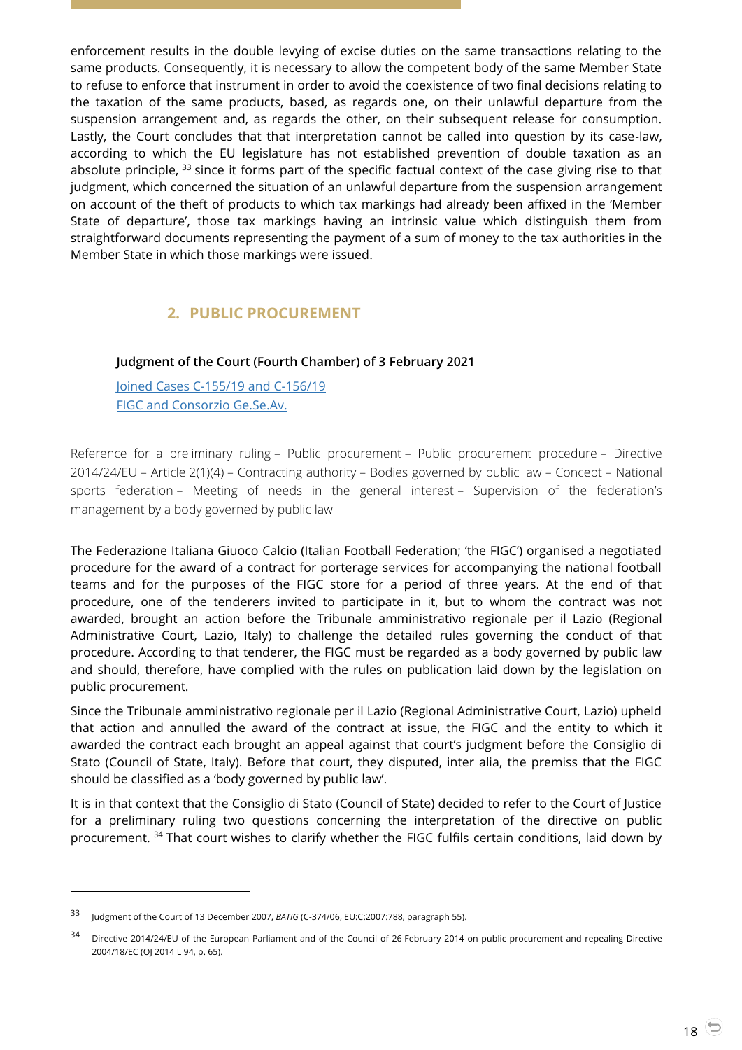enforcement results in the double levying of excise duties on the same transactions relating to the same products. Consequently, it is necessary to allow the competent body of the same Member State to refuse to enforce that instrument in order to avoid the coexistence of two final decisions relating to the taxation of the same products, based, as regards one, on their unlawful departure from the suspension arrangement and, as regards the other, on their subsequent release for consumption. Lastly, the Court concludes that that interpretation cannot be called into question by its case-law, according to which the EU legislature has not established prevention of double taxation as an absolute principle, <sup>33</sup> since it forms part of the specific factual context of the case giving rise to that judgment, which concerned the situation of an unlawful departure from the suspension arrangement on account of the theft of products to which tax markings had already been affixed in the 'Member State of departure', those tax markings having an intrinsic value which distinguish them from straightforward documents representing the payment of a sum of money to the tax authorities in the Member State in which those markings were issued.

# **2. PUBLIC PROCUREMENT**

## <span id="page-17-1"></span><span id="page-17-0"></span>**Judgment of the Court (Fourth Chamber) of 3 February 2021**

[Joined Cases C-155/19 and](https://curia.europa.eu/juris/document/document.jsf?text=&docid=237284&pageIndex=0&doclang=en&mode=lst&dir=&occ=first&part=1&cid=5729449) C-156/19 FIGC and [Consorzio Ge.Se.Av.](https://curia.europa.eu/juris/document/document.jsf?text=&docid=237284&pageIndex=0&doclang=en&mode=lst&dir=&occ=first&part=1&cid=5729449)

Reference for a preliminary ruling – Public procurement – Public procurement procedure – Directive 2014/24/EU – Article 2(1)(4) – Contracting authority – Bodies governed by public law – Concept – National sports federation – Meeting of needs in the general interest – Supervision of the federation's management by a body governed by public law

The Federazione Italiana Giuoco Calcio (Italian Football Federation; 'the FIGC') organised a negotiated procedure for the award of a contract for porterage services for accompanying the national football teams and for the purposes of the FIGC store for a period of three years. At the end of that procedure, one of the tenderers invited to participate in it, but to whom the contract was not awarded, brought an action before the Tribunale amministrativo regionale per il Lazio (Regional Administrative Court, Lazio, Italy) to challenge the detailed rules governing the conduct of that procedure. According to that tenderer, the FIGC must be regarded as a body governed by public law and should, therefore, have complied with the rules on publication laid down by the legislation on public procurement.

Since the Tribunale amministrativo regionale per il Lazio (Regional Administrative Court, Lazio) upheld that action and annulled the award of the contract at issue, the FIGC and the entity to which it awarded the contract each brought an appeal against that court's judgment before the Consiglio di Stato (Council of State, Italy). Before that court, they disputed, inter alia, the premiss that the FIGC should be classified as a 'body governed by public law'.

It is in that context that the Consiglio di Stato (Council of State) decided to refer to the Court of Justice for a preliminary ruling two questions concerning the interpretation of the directive on public procurement. <sup>34</sup> That court wishes to clarify whether the FIGC fulfils certain conditions, laid down by

<sup>33</sup> Judgment of the Court of 13 December 2007, *BATIG* (C-374/06, EU:C:2007:788, paragraph 55).

<sup>34</sup> Directive 2014/24/EU of the European Parliament and of the Council of 26 February 2014 on public procurement and repealing Directive 2004/18/EC (OJ 2014 L 94, p. 65).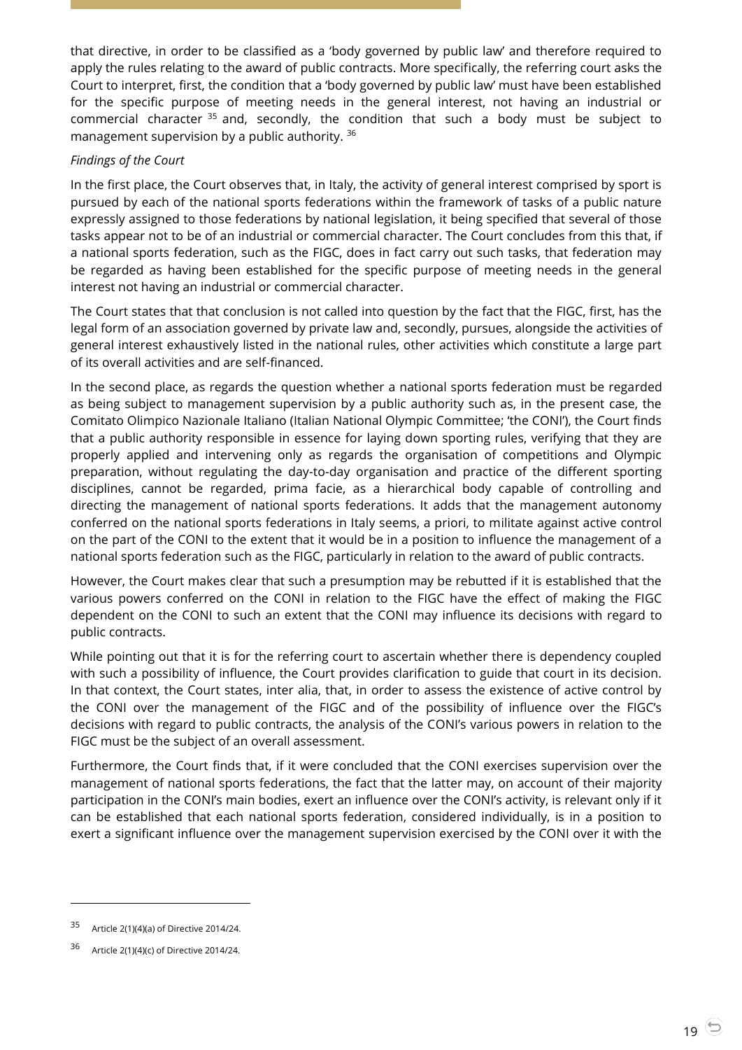that directive, in order to be classified as a 'body governed by public law' and therefore required to apply the rules relating to the award of public contracts. More specifically, the referring court asks the Court to interpret, first, the condition that a 'body governed by public law' must have been established for the specific purpose of meeting needs in the general interest, not having an industrial or commercial character <sup>35</sup> and, secondly, the condition that such a body must be subject to management supervision by a public authority. <sup>36</sup>

## *Findings of the Court*

In the first place, the Court observes that, in Italy, the activity of general interest comprised by sport is pursued by each of the national sports federations within the framework of tasks of a public nature expressly assigned to those federations by national legislation, it being specified that several of those tasks appear not to be of an industrial or commercial character. The Court concludes from this that, if a national sports federation, such as the FIGC, does in fact carry out such tasks, that federation may be regarded as having been established for the specific purpose of meeting needs in the general interest not having an industrial or commercial character.

The Court states that that conclusion is not called into question by the fact that the FIGC, first, has the legal form of an association governed by private law and, secondly, pursues, alongside the activities of general interest exhaustively listed in the national rules, other activities which constitute a large part of its overall activities and are self-financed.

In the second place, as regards the question whether a national sports federation must be regarded as being subject to management supervision by a public authority such as, in the present case, the Comitato Olimpico Nazionale Italiano (Italian National Olympic Committee; 'the CONI'), the Court finds that a public authority responsible in essence for laying down sporting rules, verifying that they are properly applied and intervening only as regards the organisation of competitions and Olympic preparation, without regulating the day-to-day organisation and practice of the different sporting disciplines, cannot be regarded, prima facie, as a hierarchical body capable of controlling and directing the management of national sports federations. It adds that the management autonomy conferred on the national sports federations in Italy seems, a priori, to militate against active control on the part of the CONI to the extent that it would be in a position to influence the management of a national sports federation such as the FIGC, particularly in relation to the award of public contracts.

However, the Court makes clear that such a presumption may be rebutted if it is established that the various powers conferred on the CONI in relation to the FIGC have the effect of making the FIGC dependent on the CONI to such an extent that the CONI may influence its decisions with regard to public contracts.

While pointing out that it is for the referring court to ascertain whether there is dependency coupled with such a possibility of influence, the Court provides clarification to guide that court in its decision. In that context, the Court states, inter alia, that, in order to assess the existence of active control by the CONI over the management of the FIGC and of the possibility of influence over the FIGC's decisions with regard to public contracts, the analysis of the CONI's various powers in relation to the FIGC must be the subject of an overall assessment.

Furthermore, the Court finds that, if it were concluded that the CONI exercises supervision over the management of national sports federations, the fact that the latter may, on account of their majority participation in the CONI's main bodies, exert an influence over the CONI's activity, is relevant only if it can be established that each national sports federation, considered individually, is in a position to exert a significant influence over the management supervision exercised by the CONI over it with the

<sup>35</sup> Article 2(1)(4)(a) of Directive 2014/24.

<sup>36</sup> Article 2(1)(4)(c) of Directive 2014/24.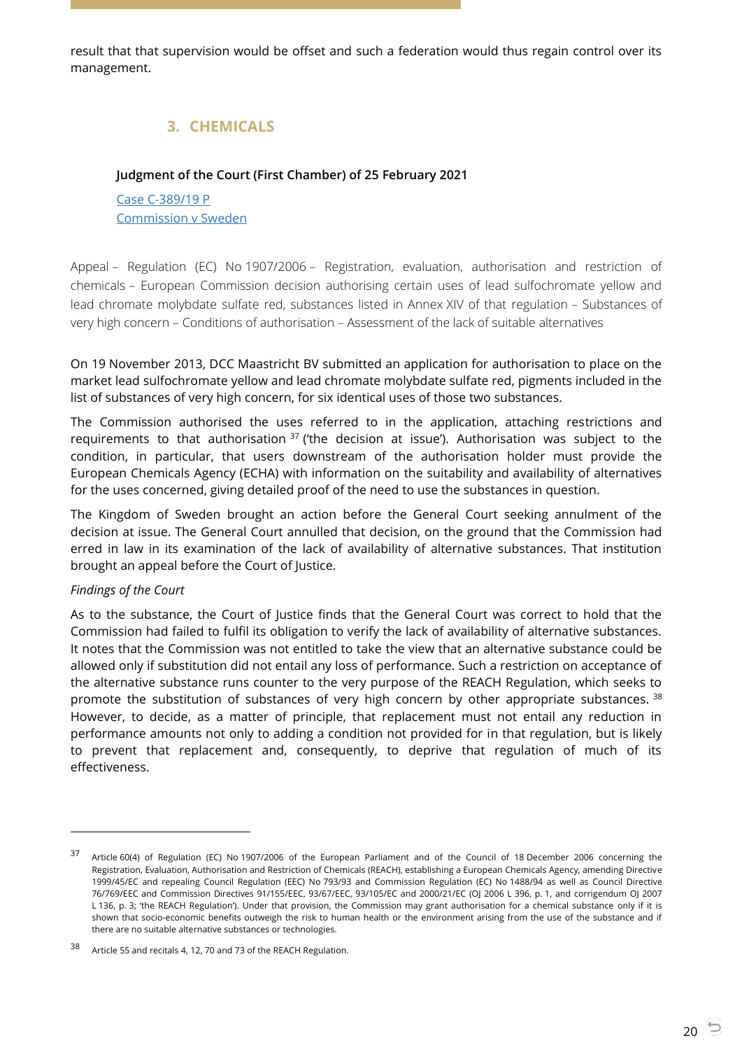<span id="page-19-0"></span>result that that supervision would be offset and such a federation would thus regain control over its management.

# **3. CHEMICALS**

## <span id="page-19-1"></span>**Judgment of the Court (First Chamber) of 25 February 2021**

Case [C-389/19](https://curia.europa.eu/juris/document/document.jsf?text=&docid=238162&pageIndex=0&doclang=EN&mode=lst&dir=&occ=first&part=1&cid=1581073) P [Commission](https://curia.europa.eu/juris/document/document.jsf?text=&docid=238162&pageIndex=0&doclang=EN&mode=lst&dir=&occ=first&part=1&cid=1581073) v Sweden

Appeal – Regulation (EC) No 1907/2006 – Registration, evaluation, authorisation and restriction of chemicals – European Commission decision authorising certain uses of lead sulfochromate yellow and lead chromate molybdate sulfate red, substances listed in Annex XIV of that regulation – Substances of very high concern – Conditions of authorisation – Assessment of the lack of suitable alternatives

On 19 November 2013, DCC Maastricht BV submitted an application for authorisation to place on the market lead sulfochromate yellow and lead chromate molybdate sulfate red, pigments included in the list of substances of very high concern, for six identical uses of those two substances.

The Commission authorised the uses referred to in the application, attaching restrictions and requirements to that authorisation  $37$  ('the decision at issue'). Authorisation was subject to the condition, in particular, that users downstream of the authorisation holder must provide the European Chemicals Agency (ECHA) with information on the suitability and availability of alternatives for the uses concerned, giving detailed proof of the need to use the substances in question.

The Kingdom of Sweden brought an action before the General Court seeking annulment of the decision at issue. The General Court annulled that decision, on the ground that the Commission had erred in law in its examination of the lack of availability of alternative substances. That institution brought an appeal before the Court of Justice.

#### *Findings of the Court*

 $\overline{a}$ 

As to the substance, the Court of Justice finds that the General Court was correct to hold that the Commission had failed to fulfil its obligation to verify the lack of availability of alternative substances. It notes that the Commission was not entitled to take the view that an alternative substance could be allowed only if substitution did not entail any loss of performance. Such a restriction on acceptance of the alternative substance runs counter to the very purpose of the REACH Regulation, which seeks to promote the substitution of substances of very high concern by other appropriate substances. 38 However, to decide, as a matter of principle, that replacement must not entail any reduction in performance amounts not only to adding a condition not provided for in that regulation, but is likely to prevent that replacement and, consequently, to deprive that regulation of much of its effectiveness.

<sup>37</sup> Article 60(4) of Regulation (EC) No 1907/2006 of the European Parliament and of the Council of 18 December 2006 concerning the Registration, Evaluation, Authorisation and Restriction of Chemicals (REACH), establishing a European Chemicals Agency, amending Directive 1999/45/EC and repealing Council Regulation (EEC) No 793/93 and Commission Regulation (EC) No 1488/94 as well as Council Directive 76/769/EEC and Commission Directives 91/155/EEC, 93/67/EEC, 93/105/EC and 2000/21/EC (OJ 2006 L 396, p. 1, and corrigendum OJ 2007 L 136, p. 3; 'the REACH Regulation'). Under that provision, the Commission may grant authorisation for a chemical substance only if it is shown that socio-economic benefits outweigh the risk to human health or the environment arising from the use of the substance and if there are no suitable alternative substances or technologies.

<sup>38</sup> Article 55 and recitals 4, 12, 70 and 73 of the REACH Regulation.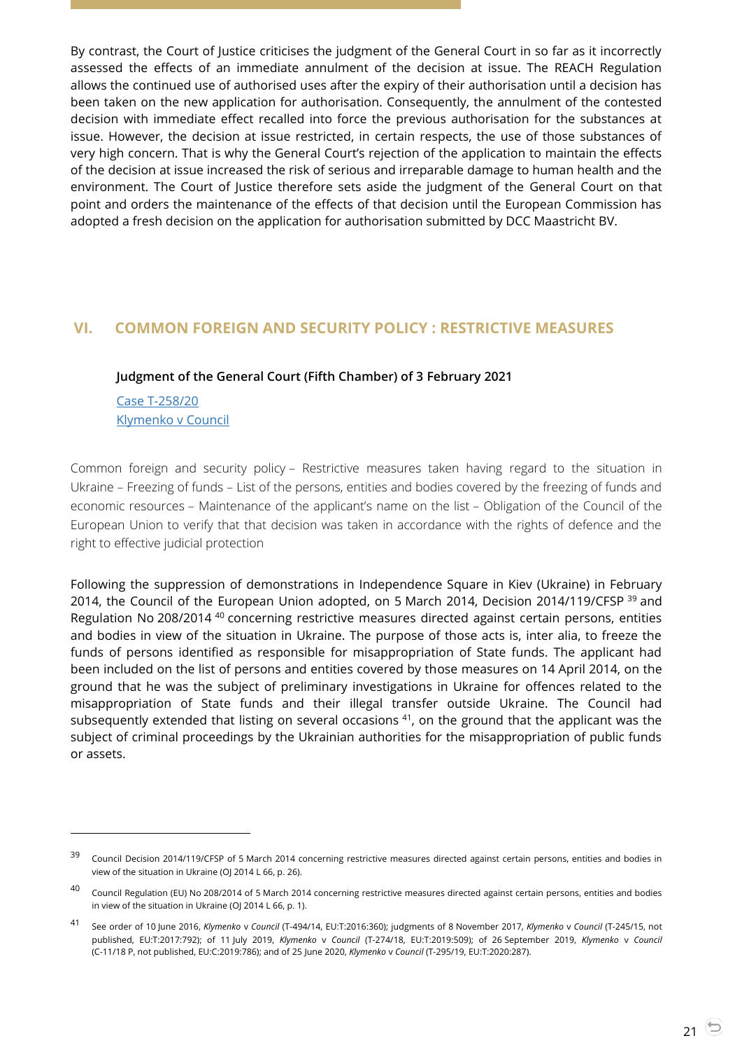By contrast, the Court of Justice criticises the judgment of the General Court in so far as it incorrectly assessed the effects of an immediate annulment of the decision at issue. The REACH Regulation allows the continued use of authorised uses after the expiry of their authorisation until a decision has been taken on the new application for authorisation. Consequently, the annulment of the contested decision with immediate effect recalled into force the previous authorisation for the substances at issue. However, the decision at issue restricted, in certain respects, the use of those substances of very high concern. That is why the General Court's rejection of the application to maintain the effects of the decision at issue increased the risk of serious and irreparable damage to human health and the environment. The Court of Justice therefore sets aside the judgment of the General Court on that point and orders the maintenance of the effects of that decision until the European Commission has adopted a fresh decision on the application for authorisation submitted by DCC Maastricht BV.

## <span id="page-20-1"></span><span id="page-20-0"></span>**VI. COMMON FOREIGN AND SECURITY POLICY : RESTRICTIVE MEASURES**

#### **Judgment of the General Court (Fifth Chamber) of 3 February 2021**

Case [T-258/20](https://curia.europa.eu/juris/document/document.jsf?text=&docid=237287&pageIndex=0&doclang=EN&mode=lst&dir=&occ=first&part=1&cid=5742144) [Klymenko](https://curia.europa.eu/juris/document/document.jsf?text=&docid=237287&pageIndex=0&doclang=EN&mode=lst&dir=&occ=first&part=1&cid=5742144) v Council

 $\overline{a}$ 

Common foreign and security policy – Restrictive measures taken having regard to the situation in Ukraine – Freezing of funds – List of the persons, entities and bodies covered by the freezing of funds and economic resources – Maintenance of the applicant's name on the list – Obligation of the Council of the European Union to verify that that decision was taken in accordance with the rights of defence and the right to effective judicial protection

Following the suppression of demonstrations in Independence Square in Kiev (Ukraine) in February 2014, the Council of the European Union adopted, on 5 March 2014, Decision 2014/119/CFSP <sup>39</sup> and Regulation No 208/2014 <sup>40</sup> concerning restrictive measures directed against certain persons, entities and bodies in view of the situation in Ukraine. The purpose of those acts is, inter alia, to freeze the funds of persons identified as responsible for misappropriation of State funds. The applicant had been included on the list of persons and entities covered by those measures on 14 April 2014, on the ground that he was the subject of preliminary investigations in Ukraine for offences related to the misappropriation of State funds and their illegal transfer outside Ukraine. The Council had subsequently extended that listing on several occasions  $41$ , on the ground that the applicant was the subject of criminal proceedings by the Ukrainian authorities for the misappropriation of public funds or assets.

 $39$  Council Decision 2014/119/CFSP of 5 March 2014 concerning restrictive measures directed against certain persons, entities and bodies in view of the situation in Ukraine (OJ 2014 L 66, p. 26).

<sup>40</sup> Council Regulation (EU) No 208/2014 of 5 March 2014 concerning restrictive measures directed against certain persons, entities and bodies in view of the situation in Ukraine (OJ 2014 L 66, p. 1).

<sup>41</sup> See order of 10 June 2016, *Klymenko* <sup>v</sup>*Council* (T-494/14, EU:T:2016:360); judgments of 8 November 2017, *Klymenko* <sup>v</sup>*Council* (T-245/15, not published, EU:T:2017:792); of 11 July 2019, *Klymenko* v *Council* (T-274/18, EU:T:2019:509); of 26 September 2019, *Klymenko* v *Council* (C-11/18 P, not published, EU:C:2019:786); and of 25 June 2020, *Klymenko* v *Council* (T-295/19, EU:T:2020:287).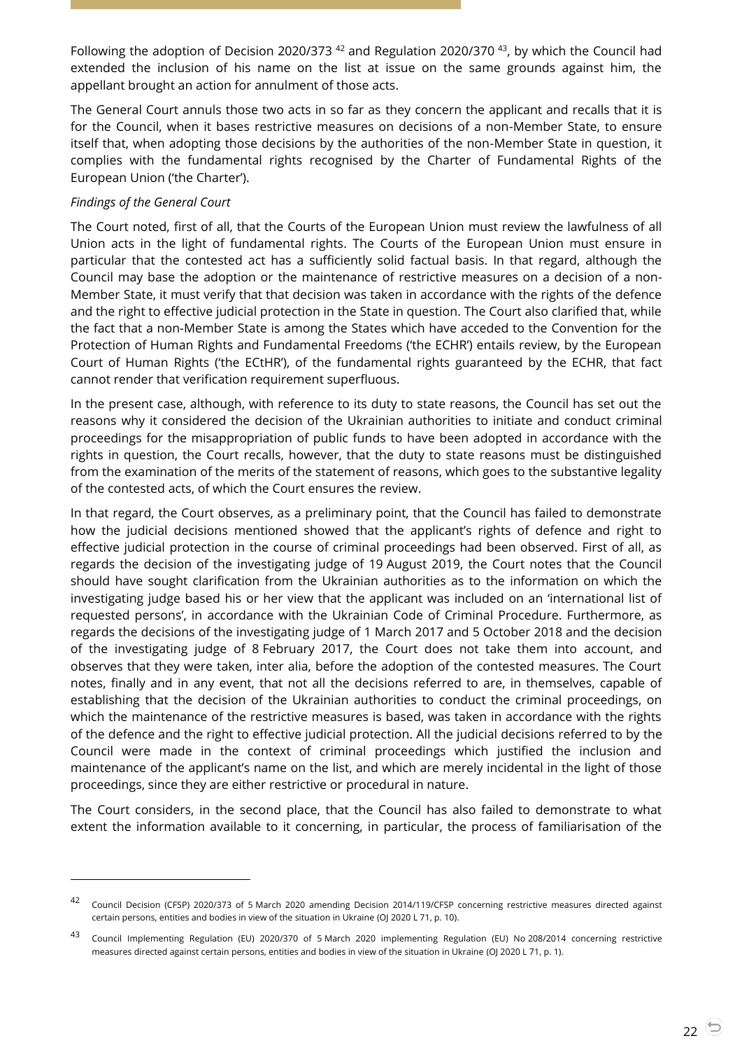Following the adoption of Decision 2020/373 <sup>42</sup> and Regulation 2020/370 <sup>43</sup>, by which the Council had extended the inclusion of his name on the list at issue on the same grounds against him, the appellant brought an action for annulment of those acts.

The General Court annuls those two acts in so far as they concern the applicant and recalls that it is for the Council, when it bases restrictive measures on decisions of a non-Member State, to ensure itself that, when adopting those decisions by the authorities of the non-Member State in question, it complies with the fundamental rights recognised by the Charter of Fundamental Rights of the European Union ('the Charter').

#### *Findings of the General Court*

 $\overline{a}$ 

The Court noted, first of all, that the Courts of the European Union must review the lawfulness of all Union acts in the light of fundamental rights. The Courts of the European Union must ensure in particular that the contested act has a sufficiently solid factual basis. In that regard, although the Council may base the adoption or the maintenance of restrictive measures on a decision of a non-Member State, it must verify that that decision was taken in accordance with the rights of the defence and the right to effective judicial protection in the State in question. The Court also clarified that, while the fact that a non-Member State is among the States which have acceded to the Convention for the Protection of Human Rights and Fundamental Freedoms ('the ECHR') entails review, by the European Court of Human Rights ('the ECtHR'), of the fundamental rights guaranteed by the ECHR, that fact cannot render that verification requirement superfluous.

In the present case, although, with reference to its duty to state reasons, the Council has set out the reasons why it considered the decision of the Ukrainian authorities to initiate and conduct criminal proceedings for the misappropriation of public funds to have been adopted in accordance with the rights in question, the Court recalls, however, that the duty to state reasons must be distinguished from the examination of the merits of the statement of reasons, which goes to the substantive legality of the contested acts, of which the Court ensures the review.

In that regard, the Court observes, as a preliminary point, that the Council has failed to demonstrate how the judicial decisions mentioned showed that the applicant's rights of defence and right to effective judicial protection in the course of criminal proceedings had been observed. First of all, as regards the decision of the investigating judge of 19 August 2019, the Court notes that the Council should have sought clarification from the Ukrainian authorities as to the information on which the investigating judge based his or her view that the applicant was included on an 'international list of requested persons', in accordance with the Ukrainian Code of Criminal Procedure. Furthermore, as regards the decisions of the investigating judge of 1 March 2017 and 5 October 2018 and the decision of the investigating judge of 8 February 2017, the Court does not take them into account, and observes that they were taken, inter alia, before the adoption of the contested measures. The Court notes, finally and in any event, that not all the decisions referred to are, in themselves, capable of establishing that the decision of the Ukrainian authorities to conduct the criminal proceedings, on which the maintenance of the restrictive measures is based, was taken in accordance with the rights of the defence and the right to effective judicial protection. All the judicial decisions referred to by the Council were made in the context of criminal proceedings which justified the inclusion and maintenance of the applicant's name on the list, and which are merely incidental in the light of those proceedings, since they are either restrictive or procedural in nature.

The Court considers, in the second place, that the Council has also failed to demonstrate to what extent the information available to it concerning, in particular, the process of familiarisation of the

<sup>42</sup> Council Decision (CFSP) 2020/373 of 5 March 2020 amending Decision 2014/119/CFSP concerning restrictive measures directed against certain persons, entities and bodies in view of the situation in Ukraine (OJ 2020 L 71, p. 10).

<sup>43</sup> Council Implementing Regulation (EU) 2020/370 of 5 March 2020 implementing Regulation (EU) No 208/2014 concerning restrictive measures directed against certain persons, entities and bodies in view of the situation in Ukraine (OJ 2020 L 71, p. 1).